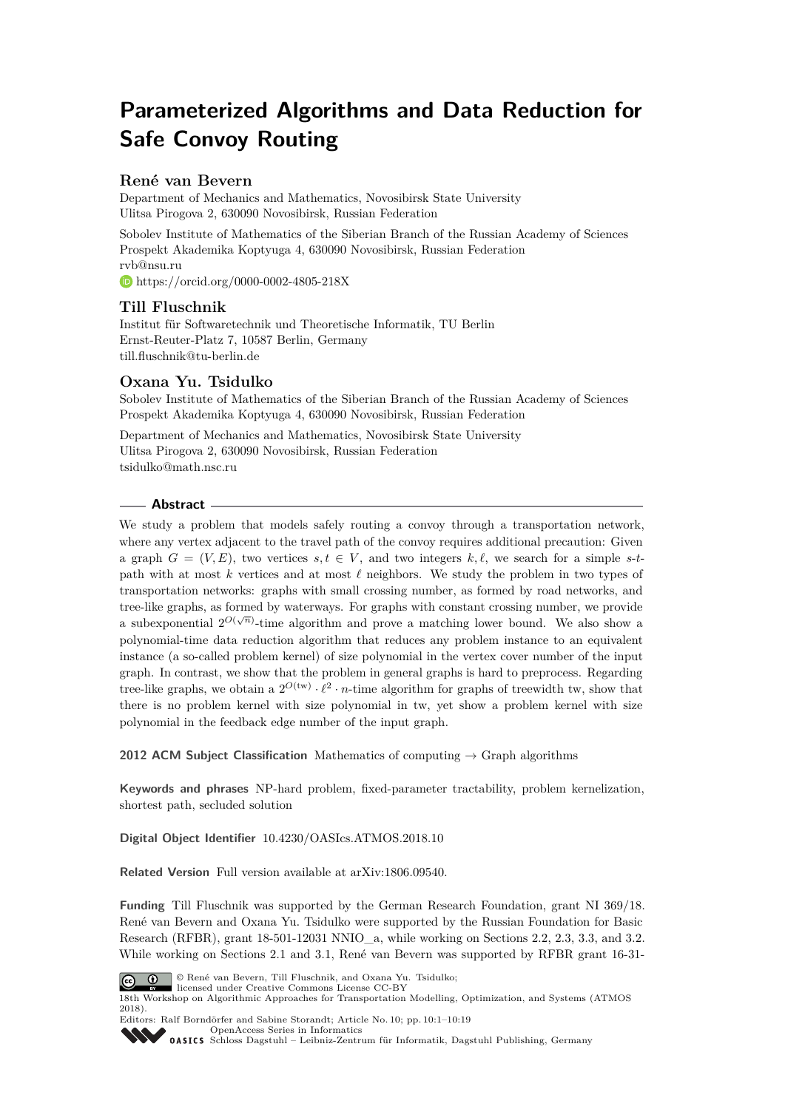# **Parameterized Algorithms and Data Reduction for Safe Convoy Routing**

# **René van Bevern**

Department of Mechanics and Mathematics, Novosibirsk State University Ulitsa Pirogova 2, 630090 Novosibirsk, Russian Federation

Sobolev Institute of Mathematics of the Siberian Branch of the Russian Academy of Sciences Prospekt Akademika Koptyuga 4, 630090 Novosibirsk, Russian Federation [rvb@nsu.ru](mailto:rvb@nsu.ru) <https://orcid.org/0000-0002-4805-218X>

# **Till Fluschnik**

Institut für Softwaretechnik und Theoretische Informatik, TU Berlin Ernst-Reuter-Platz 7, 10587 Berlin, Germany [till.fluschnik@tu-berlin.de](mailto:till.fluschnik@tu-berlin.de)

# **Oxana Yu. Tsidulko**

Sobolev Institute of Mathematics of the Siberian Branch of the Russian Academy of Sciences Prospekt Akademika Koptyuga 4, 630090 Novosibirsk, Russian Federation

Department of Mechanics and Mathematics, Novosibirsk State University Ulitsa Pirogova 2, 630090 Novosibirsk, Russian Federation [tsidulko@math.nsc.ru](mailto:tsidulko@math.nsc.ru)

# **Abstract**

We study a problem that models safely routing a convoy through a transportation network, where any vertex adjacent to the travel path of the convoy requires additional precaution: Given a graph  $G = (V, E)$ , two vertices  $s, t \in V$ , and two integers  $k, \ell$ , we search for a simple *s*-*t*path with at most  $k$  vertices and at most  $\ell$  neighbors. We study the problem in two types of transportation networks: graphs with small crossing number, as formed by road networks, and tree-like graphs, as formed by waterways. For graphs with constant crossing number, we provide a subexponential  $2^{O(\sqrt{n})}$ -time algorithm and prove a matching lower bound. We also show a polynomial-time data reduction algorithm that reduces any problem instance to an equivalent instance (a so-called problem kernel) of size polynomial in the vertex cover number of the input graph. In contrast, we show that the problem in general graphs is hard to preprocess. Regarding tree-like graphs, we obtain a  $2^{O(tw)} \cdot \ell^2 \cdot n$ -time algorithm for graphs of treewidth tw, show that there is no problem kernel with size polynomial in tw, yet show a problem kernel with size polynomial in the feedback edge number of the input graph.

**2012 ACM Subject Classification** Mathematics of computing → Graph algorithms

**Keywords and phrases** NP-hard problem, fixed-parameter tractability, problem kernelization, shortest path, secluded solution

**Digital Object Identifier** [10.4230/OASIcs.ATMOS.2018.10](http://dx.doi.org/10.4230/OASIcs.ATMOS.2018.10)

**Related Version** Full version available at [arXiv:1806.09540.](https://arxiv.org/abs/1806.09540)

**Funding** Till Fluschnik was supported by the German Research Foundation, grant NI 369/18. René van Bevern and Oxana Yu. Tsidulko were supported by the Russian Foundation for Basic Research (RFBR), grant 18-501-12031 NNIO a, while working on Sections [2.2,](#page-5-0) [2.3,](#page-7-0) [3.3,](#page-15-0) and [3.2.](#page-14-0) While working on Sections [2.1](#page-4-0) and [3.1,](#page-10-0) René van Bevern was supported by RFBR grant 16-31-



© René van Bevern, Till Fluschnik, and Oxana Yu. Tsidulko;

licensed under Creative Commons License CC-BY 18th Workshop on Algorithmic Approaches for Transportation Modelling, Optimization, and Systems (ATMOS 2018).

Editors: Ralf Borndörfer and Sabine Storandt; Article No. 10; pp. 10:1–10[:19](#page-18-0)

[OpenAccess Series in Informatics](http://www.dagstuhl.de/oasics/) [Schloss Dagstuhl – Leibniz-Zentrum für Informatik, Dagstuhl Publishing, Germany](http://www.dagstuhl.de)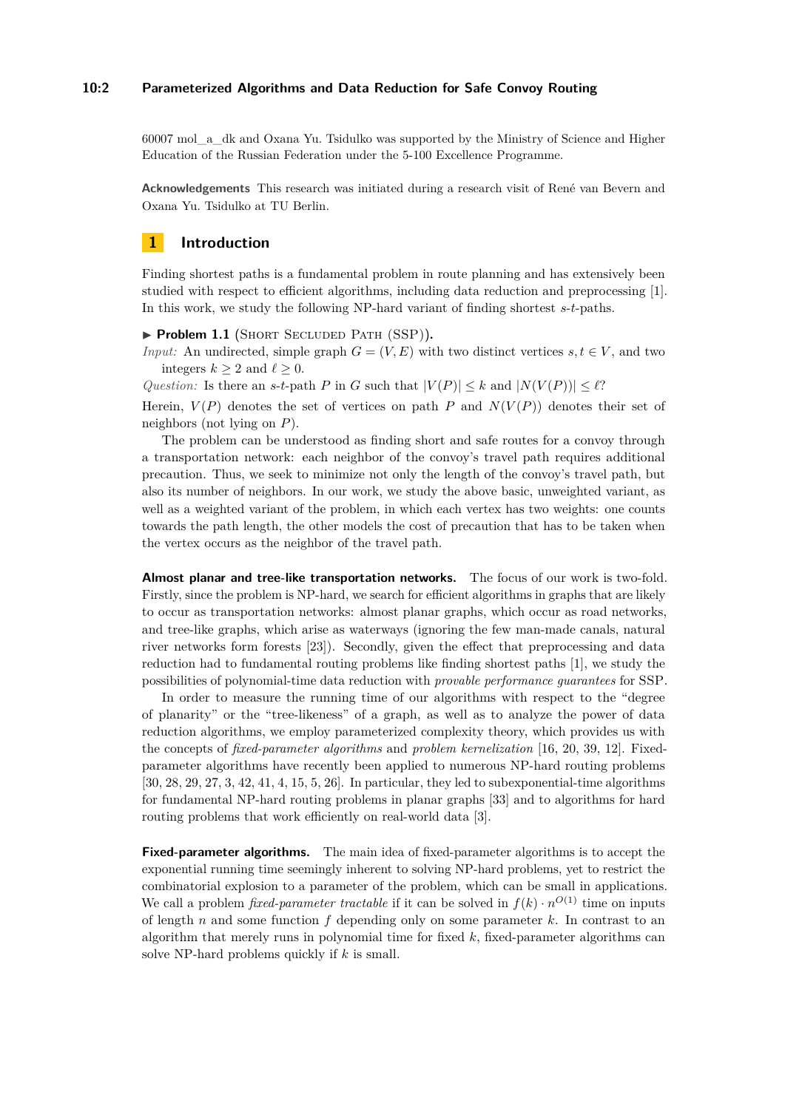## **10:2 Parameterized Algorithms and Data Reduction for Safe Convoy Routing**

60007 mol\_a\_dk and Oxana Yu. Tsidulko was supported by the Ministry of Science and Higher Education of the Russian Federation under the 5-100 Excellence Programme.

**Acknowledgements** This research was initiated during a research visit of René van Bevern and Oxana Yu. Tsidulko at TU Berlin.

# **1 Introduction**

Finding shortest paths is a fundamental problem in route planning and has extensively been studied with respect to efficient algorithms, including data reduction and preprocessing [\[1\]](#page-15-1). In this work, we study the following NP-hard variant of finding shortest *s*-*t*-paths.

▶ **Problem 1.1** (SHORT SECLUDED PATH (SSP)).

*Input:* An undirected, simple graph  $G = (V, E)$  with two distinct vertices  $s, t \in V$ , and two integers  $k > 2$  and  $\ell > 0$ .

*Question:* Is there an *s*-*t*-path *P* in *G* such that  $|V(P)| \leq k$  and  $|N(V(P))| \leq \ell$ ?

Herein,  $V(P)$  denotes the set of vertices on path P and  $N(V(P))$  denotes their set of neighbors (not lying on *P*).

The problem can be understood as finding short and safe routes for a convoy through a transportation network: each neighbor of the convoy's travel path requires additional precaution. Thus, we seek to minimize not only the length of the convoy's travel path, but also its number of neighbors. In our work, we study the above basic, unweighted variant, as well as a weighted variant of the problem, in which each vertex has two weights: one counts towards the path length, the other models the cost of precaution that has to be taken when the vertex occurs as the neighbor of the travel path.

**Almost planar and tree-like transportation networks.** The focus of our work is two-fold. Firstly, since the problem is NP-hard, we search for efficient algorithms in graphs that are likely to occur as transportation networks: almost planar graphs, which occur as road networks, and tree-like graphs, which arise as waterways (ignoring the few man-made canals, natural river networks form forests [\[23\]](#page-17-0)). Secondly, given the effect that preprocessing and data reduction had to fundamental routing problems like finding shortest paths [\[1\]](#page-15-1), we study the possibilities of polynomial-time data reduction with *provable performance guarantees* for SSP.

In order to measure the running time of our algorithms with respect to the "degree of planarity" or the "tree-likeness" of a graph, as well as to analyze the power of data reduction algorithms, we employ parameterized complexity theory, which provides us with the concepts of *fixed-parameter algorithms* and *problem kernelization* [\[16,](#page-16-0) [20,](#page-16-1) [39,](#page-18-1) [12\]](#page-16-2). Fixedparameter algorithms have recently been applied to numerous NP-hard routing problems [\[30,](#page-17-1) [28,](#page-17-2) [29,](#page-17-3) [27,](#page-17-4) [3,](#page-16-3) [42,](#page-18-2) [41,](#page-18-3) [4,](#page-16-4) [15,](#page-16-5) [5,](#page-16-6) [26\]](#page-17-5). In particular, they led to subexponential-time algorithms for fundamental NP-hard routing problems in planar graphs [\[33\]](#page-17-6) and to algorithms for hard routing problems that work efficiently on real-world data [\[3\]](#page-16-3).

**Fixed-parameter algorithms.** The main idea of fixed-parameter algorithms is to accept the exponential running time seemingly inherent to solving NP-hard problems, yet to restrict the combinatorial explosion to a parameter of the problem, which can be small in applications. We call a problem *fixed-parameter tractable* if it can be solved in  $f(k) \cdot n^{O(1)}$  time on inputs of length *n* and some function *f* depending only on some parameter *k*. In contrast to an algorithm that merely runs in polynomial time for fixed *k*, fixed-parameter algorithms can solve NP-hard problems quickly if *k* is small.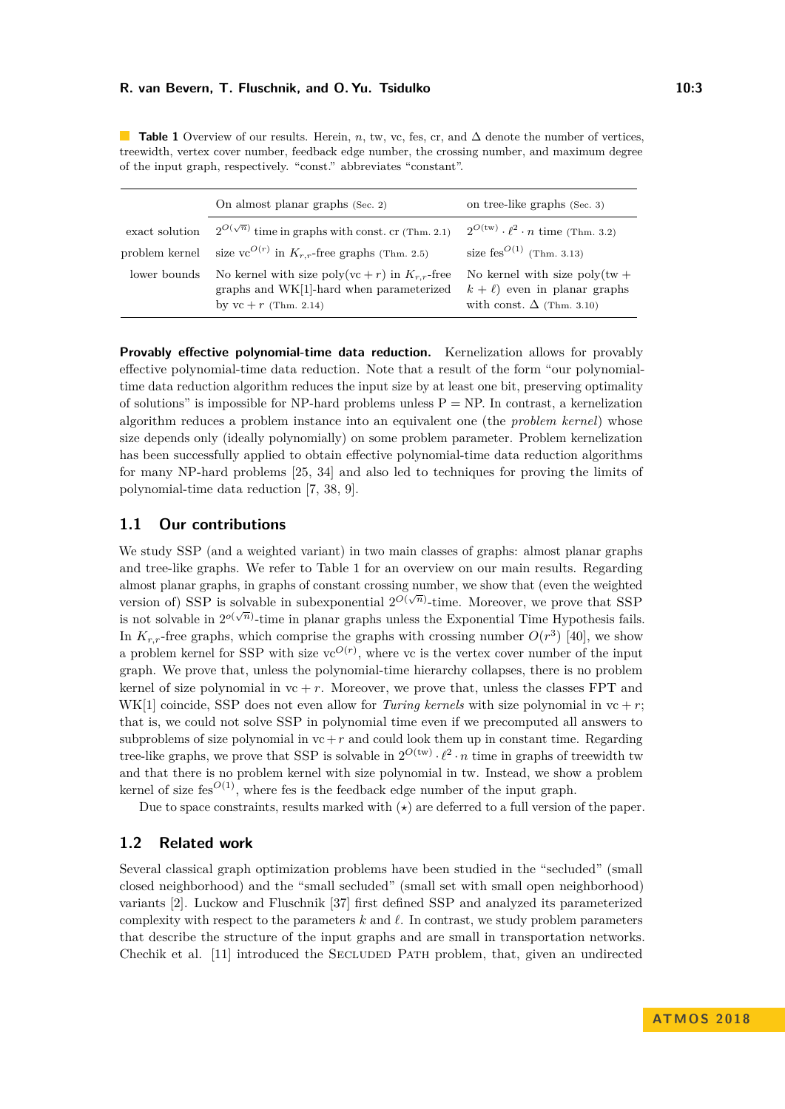<span id="page-2-0"></span>**Table 1** Overview of our results. Herein, *n*, tw, vc, fes, cr, and ∆ denote the number of vertices, treewidth, vertex cover number, feedback edge number, the crossing number, and maximum degree of the input graph, respectively. "const." abbreviates "constant".

|                | On almost planar graphs (Sec. 2)                                                                                           | on tree-like graphs (Sec. 3)                                                                                   |
|----------------|----------------------------------------------------------------------------------------------------------------------------|----------------------------------------------------------------------------------------------------------------|
| exact solution | $2^{O(\sqrt{n})}$ time in graphs with const. cr (Thm. 2.1)                                                                 | $2^{O(tw)} \cdot \ell^2 \cdot n$ time (Thm. 3.2)                                                               |
| problem kernel | size vc <sup>O(r)</sup> in $K_{r,r}$ -free graphs (Thm. 2.5)                                                               | size fes <sup><math>O(1)</math></sup> (Thm. 3.13)                                                              |
| lower bounds   | No kernel with size poly(vc + r) in $K_{r,r}$ -free<br>graphs and WK[1]-hard when parameterized<br>by $vc + r$ (Thm. 2.14) | No kernel with size $\text{poly}(tw +$<br>$k + \ell$ even in planar graphs<br>with const. $\Delta$ (Thm. 3.10) |

**Provably effective polynomial-time data reduction.** Kernelization allows for provably effective polynomial-time data reduction. Note that a result of the form "our polynomialtime data reduction algorithm reduces the input size by at least one bit, preserving optimality of solutions" is impossible for NP-hard problems unless  $P = NP$ . In contrast, a kernelization algorithm reduces a problem instance into an equivalent one (the *problem kernel*) whose size depends only (ideally polynomially) on some problem parameter. Problem kernelization has been successfully applied to obtain effective polynomial-time data reduction algorithms for many NP-hard problems [\[25,](#page-17-7) [34\]](#page-17-8) and also led to techniques for proving the limits of polynomial-time data reduction [\[7,](#page-16-7) [38,](#page-18-4) [9\]](#page-16-8).

# **1.1 Our contributions**

We study SSP (and a weighted variant) in two main classes of graphs: almost planar graphs and tree-like graphs. We refer to Table [1](#page-2-0) for an overview on our main results. Regarding almost planar graphs, in graphs of constant crossing number, we show that (even the weighted version of) SSP is solvable in subexponential  $2^{O(\sqrt{n})}$ -time. Moreover, we prove that SSP is not solvable in  $2^{o(\sqrt{n})}$ -time in planar graphs unless the Exponential Time Hypothesis fails. In  $K_{r,r}$ -free graphs, which comprise the graphs with crossing number  $O(r^3)$  [\[40\]](#page-18-5), we show a problem kernel for SSP with size  $vc^{O(r)}$ , where vc is the vertex cover number of the input graph. We prove that, unless the polynomial-time hierarchy collapses, there is no problem kernel of size polynomial in  $vc + r$ . Moreover, we prove that, unless the classes FPT and WK[1] coincide, SSP does not even allow for *Turing kernels* with size polynomial in  $vc + r$ ; that is, we could not solve SSP in polynomial time even if we precomputed all answers to subproblems of size polynomial in  $vc+r$  and could look them up in constant time. Regarding tree-like graphs, we prove that SSP is solvable in  $2^{O(tw)} \cdot \ell^2 \cdot n$  time in graphs of treewidth two and that there is no problem kernel with size polynomial in tw. Instead, we show a problem kernel of size fes<sup> $O(1)$ </sup>, where fes is the feedback edge number of the input graph.

Due to space constraints, results marked with  $(\star)$  are deferred to a full version of the paper.

# **1.2 Related work**

Several classical graph optimization problems have been studied in the "secluded" (small closed neighborhood) and the "small secluded" (small set with small open neighborhood) variants [\[2\]](#page-15-3). Luckow and Fluschnik [\[37\]](#page-17-9) first defined SSP and analyzed its parameterized complexity with respect to the parameters  $k$  and  $\ell$ . In contrast, we study problem parameters that describe the structure of the input graphs and are small in transportation networks. Chechik et al. [\[11\]](#page-16-9) introduced the Secluded Path problem, that, given an undirected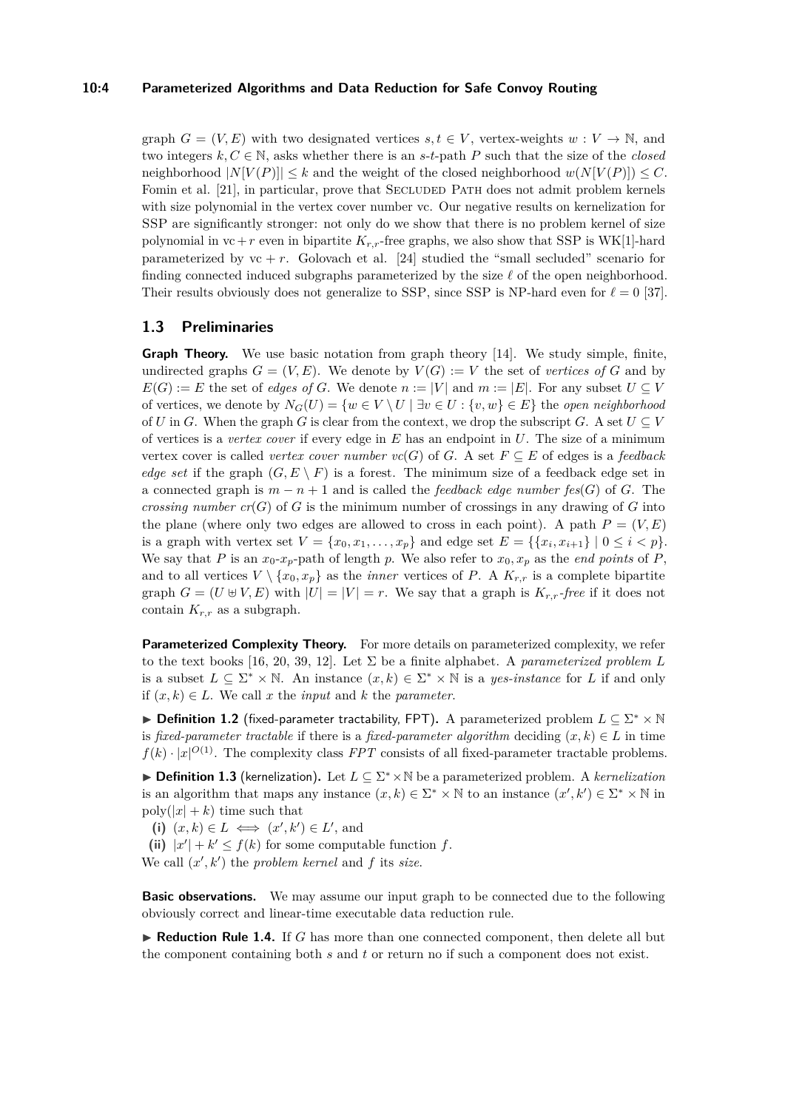#### **10:4 Parameterized Algorithms and Data Reduction for Safe Convoy Routing**

graph  $G = (V, E)$  with two designated vertices  $s, t \in V$ , vertex-weights  $w: V \to \mathbb{N}$ , and two integers  $k, C \in \mathbb{N}$ , asks whether there is an *s*-*t*-path *P* such that the size of the *closed* neighborhood  $|N[V(P)]| \leq k$  and the weight of the closed neighborhood  $w(N[V(P)]) \leq C$ . Fomin et al. [\[21\]](#page-17-10), in particular, prove that SECLUDED PATH does not admit problem kernels with size polynomial in the vertex cover number vc. Our negative results on kernelization for SSP are significantly stronger: not only do we show that there is no problem kernel of size polynomial in  $vc+r$  even in bipartite  $K_{r,r}$ -free graphs, we also show that SSP is WK[1]-hard parameterized by  $vc + r$ . Golovach et al. [\[24\]](#page-17-11) studied the "small secluded" scenario for finding connected induced subgraphs parameterized by the size  $\ell$  of the open neighborhood. Their results obviously does not generalize to SSP, since SSP is NP-hard even for  $\ell = 0$  [\[37\]](#page-17-9).

# **1.3 Preliminaries**

**Graph Theory.** We use basic notation from graph theory [\[14\]](#page-16-10). We study simple, finite, undirected graphs  $G = (V, E)$ . We denote by  $V(G) := V$  the set of *vertices of* G and by  $E(G) := E$  the set of *edges of G*. We denote  $n := |V|$  and  $m := |E|$ . For any subset  $U \subseteq V$ of vertices, we denote by  $N_G(U) = \{w \in V \setminus U \mid \exists v \in U : \{v, w\} \in E\}$  the *open neighborhood* of *U* in *G*. When the graph *G* is clear from the context, we drop the subscript *G*. A set  $U \subseteq V$ of vertices is a *vertex cover* if every edge in *E* has an endpoint in *U*. The size of a minimum vertex cover is called *vertex cover number*  $vc(G)$  of *G*. A set  $F \subseteq E$  of edges is a *feedback edge set* if the graph  $(G, E \setminus F)$  is a forest. The minimum size of a feedback edge set in a connected graph is  $m - n + 1$  and is called the *feedback edge number fes*(*G*) of *G*. The *crossing number*  $cr(G)$  of *G* is the minimum number of crossings in any drawing of *G* into the plane (where only two edges are allowed to cross in each point). A path  $P = (V, E)$ is a graph with vertex set  $V = \{x_0, x_1, \ldots, x_p\}$  and edge set  $E = \{\{x_i, x_{i+1}\} \mid 0 \le i < p\}$ . We say that *P* is an  $x_0-x_p$ -path of length *p*. We also refer to  $x_0, x_p$  as the *end points* of *P*, and to all vertices  $V \setminus \{x_0, x_p\}$  as the *inner* vertices of P. A  $K_{r,r}$  is a complete bipartite graph  $G = (U \oplus V, E)$  with  $|U| = |V| = r$ . We say that a graph is  $K_{r,r}$ -free if it does not contain  $K_{r,r}$  as a subgraph.

Parameterized Complexity Theory. For more details on parameterized complexity, we refer to the text books [\[16,](#page-16-0) [20,](#page-16-1) [39,](#page-18-1) [12\]](#page-16-2). Let  $\Sigma$  be a finite alphabet. A *parameterized problem* L is a subset  $L \subseteq \Sigma^* \times \mathbb{N}$ . An instance  $(x, k) \in \Sigma^* \times \mathbb{N}$  is a *yes-instance* for *L* if and only if (*x, k*) ∈ *L*. We call *x* the *input* and *k* the *parameter*.

► Definition 1.2 (fixed-parameter tractability, FPT). A parameterized problem  $L \subseteq \Sigma^* \times \mathbb{N}$ is *fixed-parameter tractable* if there is a *fixed-parameter algorithm* deciding  $(x, k) \in L$  in time  $f(k) \cdot |x|^{O(1)}$ . The complexity class *FPT* consists of all fixed-parameter tractable problems.

**► Definition 1.3** (kernelization). Let  $L \subseteq \Sigma^* \times \mathbb{N}$  be a parameterized problem. A *kernelization* is an algorithm that maps any instance  $(x, k) \in \Sigma^* \times \mathbb{N}$  to an instance  $(x', k') \in \Sigma^* \times \mathbb{N}$  in  $\text{poly}(|x| + k)$  time such that

(i)  $(x, k) \in L \iff (x', k') \in L'$ , and

(ii)  $|x'| + k' \leq f(k)$  for some computable function *f*. We call  $(x', k')$  the *problem kernel* and *f* its *size*.

**Basic observations.** We may assume our input graph to be connected due to the following obviously correct and linear-time executable data reduction rule.

<span id="page-3-0"></span>► **Reduction Rule 1.4.** If *G* has more than one connected component, then delete all but the component containing both *s* and *t* or return no if such a component does not exist.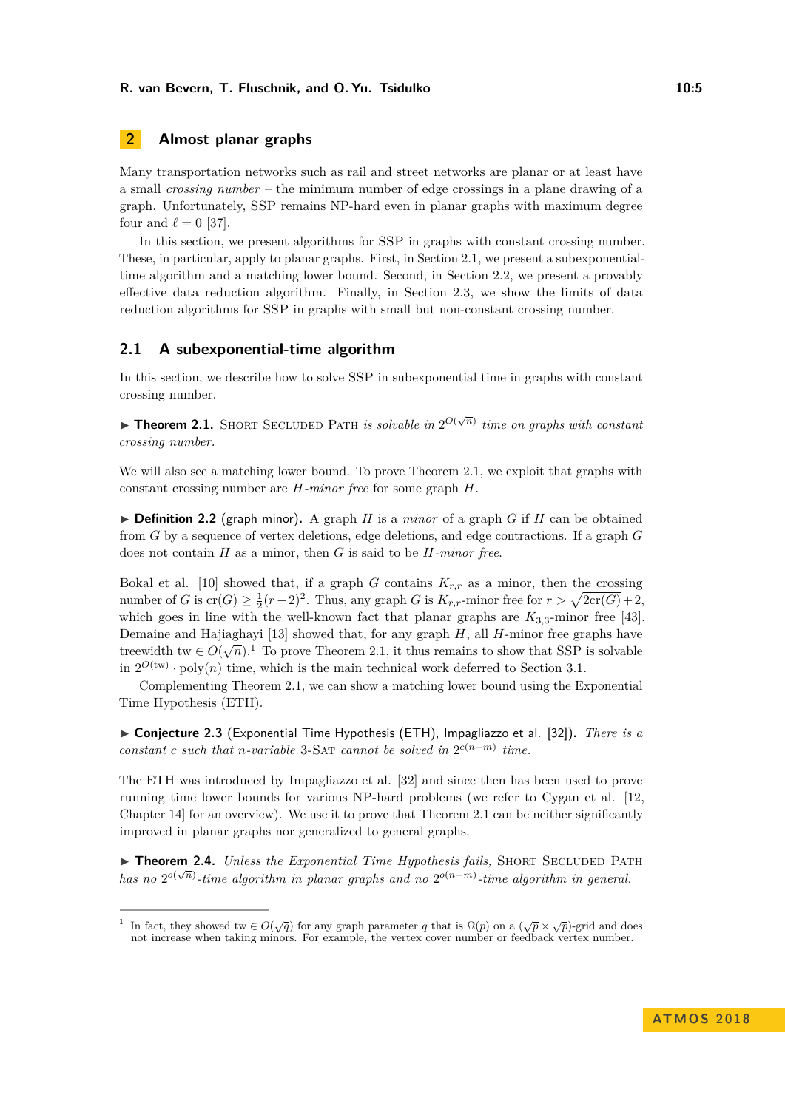# <span id="page-4-1"></span>**2 Almost planar graphs**

Many transportation networks such as rail and street networks are planar or at least have a small *crossing number* – the minimum number of edge crossings in a plane drawing of a graph. Unfortunately, SSP remains NP-hard even in planar graphs with maximum degree four and  $\ell = 0$  [\[37\]](#page-17-9).

In this section, we present algorithms for SSP in graphs with constant crossing number. These, in particular, apply to planar graphs. First, in Section [2.1,](#page-4-0) we present a subexponentialtime algorithm and a matching lower bound. Second, in Section [2.2,](#page-5-0) we present a provably effective data reduction algorithm. Finally, in Section [2.3,](#page-7-0) we show the limits of data reduction algorithms for SSP in graphs with small but non-constant crossing number.

## <span id="page-4-0"></span>**2.1 A subexponential-time algorithm**

In this section, we describe how to solve SSP in subexponential time in graphs with constant crossing number.

<span id="page-4-2"></span>**Theorem 2.1.** SHORT SECLUDED PATH *is solvable in*  $2^{O(\sqrt{n})}$  *time on graphs with constant crossing number.*

We will also see a matching lower bound. To prove Theorem [2.1,](#page-4-2) we exploit that graphs with constant crossing number are *H-minor free* for some graph *H*.

 $\triangleright$  **Definition 2.2** (graph minor). A graph *H* is a *minor* of a graph *G* if *H* can be obtained from *G* by a sequence of vertex deletions, edge deletions, and edge contractions. If a graph *G* does not contain *H* as a minor, then *G* is said to be *H-minor free*.

Bokal et al. [\[10\]](#page-16-11) showed that, if a graph *G* contains  $K_{r,r}$  as a minor, then the crossing number of *G* is  $\text{cr}(G) \ge \frac{1}{2}(r-2)^2$ . Thus, any graph *G* is  $K_{r,r}$ -minor free for  $r > \sqrt{2\text{cr}(G)} + 2$ , which goes in line with the well-known fact that planar graphs are  $K_{3,3}$ -minor free [\[43\]](#page-18-6). Demaine and Hajiaghayi [\[13\]](#page-16-12) showed that, for any graph *H*, all *H*-minor free graphs have treewidth tw  $\in O(\sqrt{n})$ .<sup>[1](#page-4-3)</sup> To prove Theorem [2.1,](#page-4-2) it thus remains to show that SSP is solvable in  $2^{O(tw)} \cdot \text{poly}(n)$  time, which is the main technical work deferred to Section [3.1.](#page-10-0)

Complementing Theorem [2.1,](#page-4-2) we can show a matching lower bound using the Exponential Time Hypothesis (ETH).

▶ **Conjecture 2.3** (Exponential Time Hypothesis (ETH), Impagliazzo et al. [\[32\]](#page-17-12)). *There is a constant c such* that *n-variable* 3-SAT *cannot be solved in*  $2^{c(n+m)}$  *time.* 

The ETH was introduced by Impagliazzo et al. [\[32\]](#page-17-12) and since then has been used to prove running time lower bounds for various NP-hard problems (we refer to Cygan et al. [\[12,](#page-16-2) Chapter 14] for an overview). We use it to prove that Theorem [2.1](#page-4-2) can be neither significantly improved in planar graphs nor generalized to general graphs.

▶ **Theorem 2.4.** *Unless the Exponential Time Hypothesis fails,* SHORT SECLUDED PATH *has no*  $2^{o(\sqrt{n})}$  *-time algorithm in planar graphs and no*  $2^{o(n+m)}$ *-time algorithm in general.* 

<span id="page-4-3"></span><sup>1</sup> In fact, they showed tw  $\in O(\sqrt{q})$  for any graph parameter *q* that is  $\Omega(p)$  on a  $(\sqrt{p} \times \sqrt{p})$ -grid and does not increase when taking minors. For example, the vertex cover number or feedback vertex number.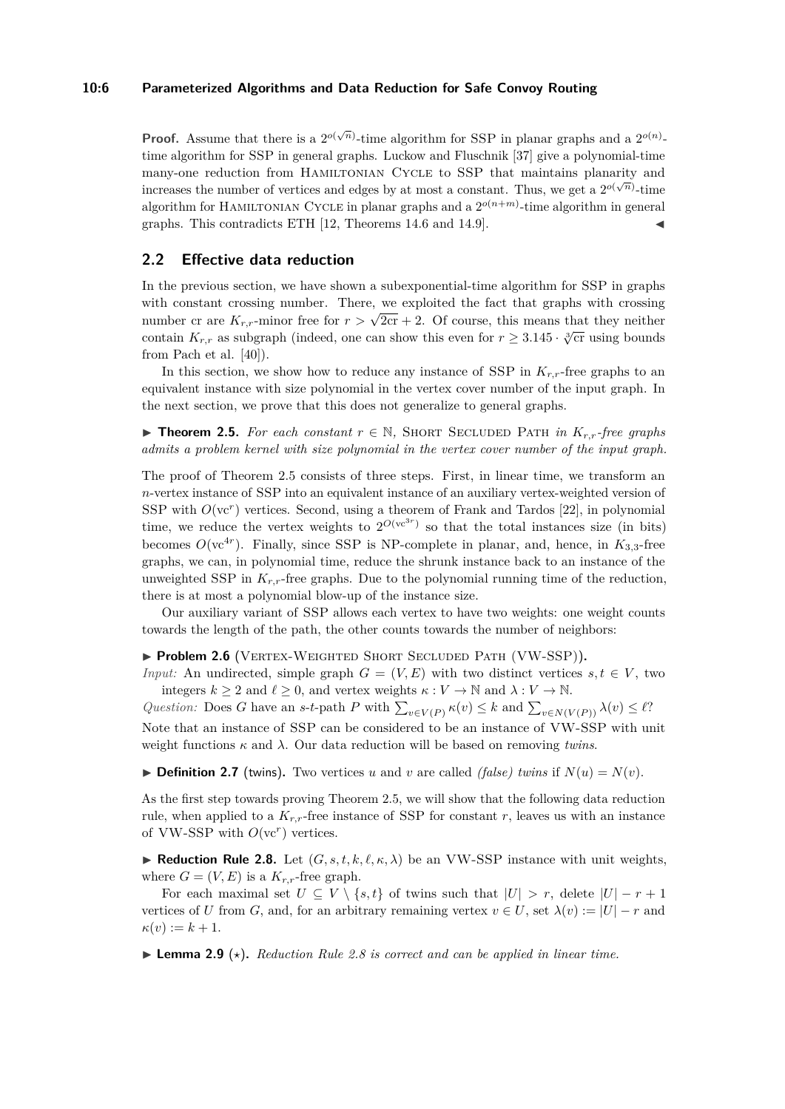#### **10:6 Parameterized Algorithms and Data Reduction for Safe Convoy Routing**

**Proof.** Assume that there is a  $2^{o(\sqrt{n})}$ -time algorithm for SSP in planar graphs and a  $2^{o(n)}$ time algorithm for SSP in general graphs. Luckow and Fluschnik [\[37\]](#page-17-9) give a polynomial-time many-one reduction from HAMILTONIAN CYCLE to SSP that maintains planarity and increases the number of vertices and edges by at most a constant. Thus, we get a  $2^{o(\sqrt{n})}$ -time algorithm for HAMILTONIAN CYCLE in planar graphs and a  $2^{o(n+m)}$ -time algorithm in general graphs. This contradicts ETH [\[12,](#page-16-2) Theorems 14.6 and 14.9].

## <span id="page-5-0"></span>**2.2 Effective data reduction**

In the previous section, we have shown a subexponential-time algorithm for SSP in graphs with constant crossing number. There, we exploited the fact that graphs with crossing with constant crossing number. There, we explored the fact that graphs with crossing<br>number cr are  $K_{r,r}$ -minor free for  $r > \sqrt{2c}r + 2$ . Of course, this means that they neither contain  $K_{r,r}$  as subgraph (indeed, one can show this even for  $r \geq 3.145 \cdot \sqrt[3]{\text{cr}}$  using bounds from Pach et al. [\[40\]](#page-18-5)).

In this section, we show how to reduce any instance of SSP in *Kr,r*-free graphs to an equivalent instance with size polynomial in the vertex cover number of the input graph. In the next section, we prove that this does not generalize to general graphs.

<span id="page-5-1"></span>**► Theorem 2.5.** For each constant  $r \in \mathbb{N}$ , SHORT SECLUDED PATH in  $K_{r,r}$ -free graphs *admits a problem kernel with size polynomial in the vertex cover number of the input graph.*

The proof of Theorem [2.5](#page-5-1) consists of three steps. First, in linear time, we transform an *n*-vertex instance of SSP into an equivalent instance of an auxiliary vertex-weighted version of SSP with  $O(\nu c^r)$  vertices. Second, using a theorem of Frank and Tardos [\[22\]](#page-17-13), in polynomial time, we reduce the vertex weights to  $2^{O(vc^{3r})}$  so that the total instances size (in bits) becomes  $O(\nu c^{4r})$ . Finally, since SSP is NP-complete in planar, and, hence, in  $K_{3,3}$ -free graphs, we can, in polynomial time, reduce the shrunk instance back to an instance of the unweighted SSP in  $K_{r,r}$ -free graphs. Due to the polynomial running time of the reduction, there is at most a polynomial blow-up of the instance size.

Our auxiliary variant of SSP allows each vertex to have two weights: one weight counts towards the length of the path, the other counts towards the number of neighbors:

<span id="page-5-3"></span>▶ **Problem 2.6** (VERTEX-WEIGHTED SHORT SECLUDED PATH (VW-SSP)).

*Input:* An undirected, simple graph  $G = (V, E)$  with two distinct vertices  $s, t \in V$ , two integers  $k \geq 2$  and  $\ell \geq 0$ , and vertex weights  $\kappa : V \to \mathbb{N}$  and  $\lambda : V \to \mathbb{N}$ .

*Question:* Does *G* have an *s*-*t*-path *P* with  $\sum_{v \in V(P)} \kappa(v) \leq k$  and  $\sum_{v \in N(V(P))} \lambda(v) \leq \ell$ ? Note that an instance of SSP can be considered to be an instance of VW-SSP with unit weight functions  $\kappa$  and  $\lambda$ . Our data reduction will be based on removing *twins*.

 $\triangleright$  **Definition 2.7** (twins). Two vertices *u* and *v* are called *(false) twins* if  $N(u) = N(v)$ .

As the first step towards proving Theorem [2.5,](#page-5-1) we will show that the following data reduction rule, when applied to a  $K_{r,r}$ -free instance of SSP for constant r, leaves us with an instance of VW-SSP with  $O(\kappa^r)$  vertices.

<span id="page-5-2"></span>**Reduction Rule 2.8.** Let  $(G, s, t, k, \ell, \kappa, \lambda)$  be an VW-SSP instance with unit weights, where  $G = (V, E)$  is a  $K_{r,r}$ -free graph.

For each maximal set  $U \subseteq V \setminus \{s,t\}$  of twins such that  $|U| > r$ , delete  $|U| - r + 1$ vertices of *U* from *G*, and, for an arbitrary remaining vertex  $v \in U$ , set  $\lambda(v) := |U| - r$  and  $\kappa(v) := k+1.$ 

**Lemma 2.9** ( $\star$ ). *Reduction Rule* [2.8](#page-5-2) *is correct and can be applied in linear time.*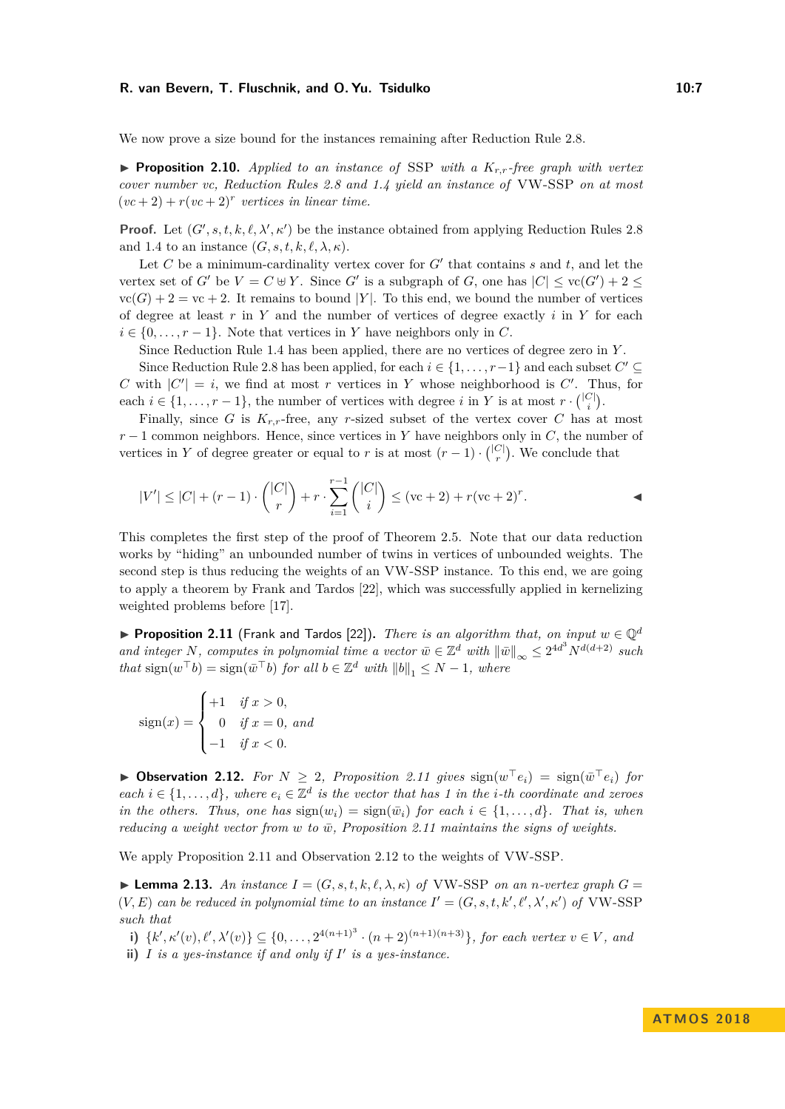We now prove a size bound for the instances remaining after Reduction Rule [2.8.](#page-5-2)

<span id="page-6-4"></span>**Proposition 2.10.** *Applied to an instance of* SSP *with a*  $K_{r,r}$ -free graph with vertex *cover number vc, Reduction Rules [2.8](#page-5-2) and [1.4](#page-3-0) yield an instance of* VW-SSP *on at most*  $(vc + 2) + r(vc + 2)^r$  vertices in linear time.

**Proof.** Let  $(G', s, t, k, \ell, \lambda', \kappa')$  be the instance obtained from applying Reduction Rules [2.8](#page-5-2) and [1.4](#page-3-0) to an instance  $(G, s, t, k, \ell, \lambda, \kappa)$ .

Let  $C$  be a minimum-cardinality vertex cover for  $G'$  that contains  $s$  and  $t$ , and let the vertex set of *G*<sup> $\prime$ </sup> be  $V = C \oplus Y$ . Since *G*<sup> $\prime$ </sup> is a subgraph of *G*, one has  $|C| \leq \text{vc}(G') + 2 \leq$  $\text{vc}(G) + 2 = \text{vc} + 2$ . It remains to bound |*Y*|. To this end, we bound the number of vertices of degree at least *r* in *Y* and the number of vertices of degree exactly *i* in *Y* for each  $i \in \{0, \ldots, r-1\}$ . Note that vertices in *Y* have neighbors only in *C*.

Since Reduction Rule [1.4](#page-3-0) has been applied, there are no vertices of degree zero in *Y* .

Since Reduction Rule [2.8](#page-5-2) has been applied, for each  $i \in \{1, \ldots, r-1\}$  and each subset  $C' \subseteq$ *C* with  $|C'| = i$ , we find at most *r* vertices in *Y* whose neighborhood is *C'*. Thus, for each  $i \in \{1, \ldots, r-1\}$ , the number of vertices with degree  $i$  in  $Y$  is at most  $r \cdot \binom{|C|}{i}$ .

Finally, since *G* is  $K_{r,r}$ -free, any *r*-sized subset of the vertex cover *C* has at most  $r-1$  common neighbors. Hence, since vertices in *Y* have neighbors only in *C*, the number of vertices in *Y* of degree greater or equal to *r* is at most  $(r-1) \cdot {|\mathcal{C}| \choose r}$ . We conclude that

$$
|V'| \leq |C| + (r - 1) \cdot \binom{|C|}{r} + r \cdot \sum_{i=1}^{r-1} \binom{|C|}{i} \leq (\text{vc} + 2) + r(\text{vc} + 2)^r.
$$

This completes the first step of the proof of Theorem [2.5.](#page-5-1) Note that our data reduction works by "hiding" an unbounded number of twins in vertices of unbounded weights. The second step is thus reducing the weights of an VW-SSP instance. To this end, we are going to apply a theorem by Frank and Tardos [\[22\]](#page-17-13), which was successfully applied in kernelizing weighted problems before [\[17\]](#page-16-13).

<span id="page-6-0"></span>**Proposition 2.11** (Frank and Tardos [\[22\]](#page-17-13)). *There is an algorithm that, on input*  $w \in \mathbb{Q}^d$ *and integer N*, *computes in polynomial time a vector*  $\bar{w} \in \mathbb{Z}^d$  *with*  $\|\bar{w}\|_{\infty} \leq 2^{4d^3} N^{d(d+2)}$  *such that*  $\text{sign}(w^\top b) = \text{sign}(\bar{w}^\top b)$  *for all*  $b \in \mathbb{Z}^d$  *with*  $||b||_1 \leq N - 1$ *, where* 

$$
sign(x) = \begin{cases} +1 & \text{if } x > 0, \\ 0 & \text{if } x = 0, \text{ and} \\ -1 & \text{if } x < 0. \end{cases}
$$

<span id="page-6-1"></span>▶ Observation 2.12. *For*  $N \geq 2$ , *Proposition* [2.11](#page-6-0) gives  $sign(w^\top e_i) = sign(\bar{w}^\top e_i)$  *for each i* ∈ {1,...,*d*}*,* where  $e_i$  ∈  $\mathbb{Z}^d$  *is the vector that has 1 in the <i>i*-th coordinate and zeroes *in the others. Thus, one has*  $sign(w_i) = sign(\bar{w}_i)$  *for each*  $i \in \{1, ..., d\}$ *. That is, when reducing a weight vector from w to*  $\bar{w}$ , *Proposition* [2.11](#page-6-0) *maintains the signs of weights.* 

We apply Proposition [2.11](#page-6-0) and Observation [2.12](#page-6-1) to the weights of VW-SSP.

<span id="page-6-5"></span> $\blacktriangleright$  **Lemma 2.13.** An instance  $I = (G, s, t, k, \ell, \lambda, \kappa)$  of VW-SSP on an *n*-vertex graph  $G =$  $(V, E)$  *can be reduced in polynomial time to an instance*  $I' = (G, s, t, k', \ell', \lambda', \kappa')$  *of* VW-SSP *such that*

<span id="page-6-2"></span>**i)**  $\{k', \kappa'(v), \ell', \lambda'(v)\} \subseteq \{0, \ldots, 2^{4(n+1)^3} \cdot (n+2)^{(n+1)(n+3)}\}$ , for each vertex  $v \in V$ , and

<span id="page-6-3"></span>**ii)**  $I$  *is a yes-instance if and only if*  $I'$  *is a yes-instance.*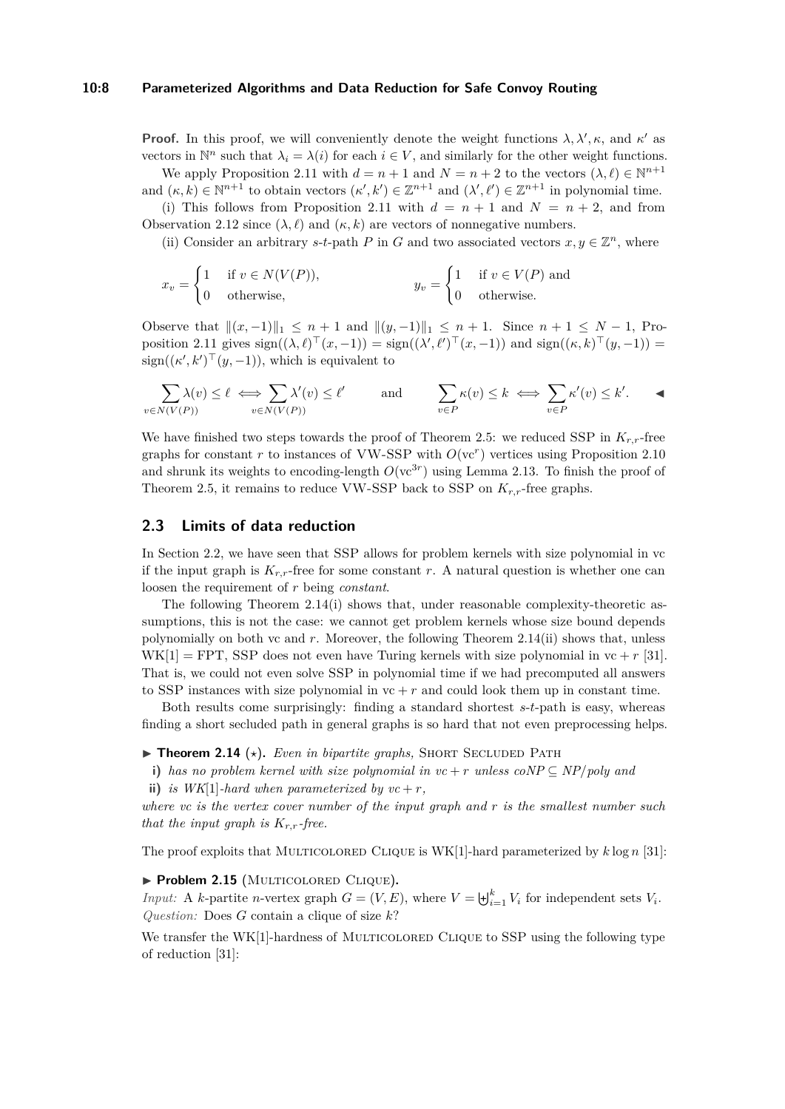#### **10:8 Parameterized Algorithms and Data Reduction for Safe Convoy Routing**

**Proof.** In this proof, we will conveniently denote the weight functions  $\lambda, \lambda', \kappa$ , and  $\kappa'$  as vectors in  $\mathbb{N}^n$  such that  $\lambda_i = \lambda(i)$  for each  $i \in V$ , and similarly for the other weight functions.

We apply Proposition [2.11](#page-6-0) with  $d = n + 1$  and  $N = n + 2$  to the vectors  $(\lambda, \ell) \in \mathbb{N}^{n+1}$ and  $(\kappa, k) \in \mathbb{N}^{n+1}$  to obtain vectors  $(\kappa', k') \in \mathbb{Z}^{n+1}$  and  $(\lambda', \ell') \in \mathbb{Z}^{n+1}$  in polynomial time.

[\(i\)](#page-6-2) This follows from Proposition [2.11](#page-6-0) with  $d = n + 1$  and  $N = n + 2$ , and from Observation [2.12](#page-6-1) since  $(\lambda, \ell)$  and  $(\kappa, k)$  are vectors of nonnegative numbers.

[\(ii\)](#page-6-3) Consider an arbitrary *s*-*t*-path *P* in *G* and two associated vectors  $x, y \in \mathbb{Z}^n$ , where

$$
x_v = \begin{cases} 1 & \text{if } v \in N(V(P)), \\ 0 & \text{otherwise,} \end{cases} \qquad y_v = \begin{cases} 1 & \text{if } v \in V(P) \text{ and } \\ 0 & \text{otherwise.} \end{cases}
$$

Observe that  $||(x, -1)||_1 \le n + 1$  and  $||(y, -1)||_1 \le n + 1$ . Since  $n + 1 \le N - 1$ , Pro-position [2.11](#page-6-0) gives  $sign((\lambda, \ell)^{\top}(x, -1)) = sign((\lambda', \ell')^{\top}(x, -1))$  and  $sign((\kappa, k)^{\top}(y, -1)) =$  $sign((\kappa', k')^\top (y, -1)),$  which is equivalent to

$$
\sum_{v \in N(V(P))} \lambda(v) \le \ell \iff \sum_{v \in N(V(P))} \lambda'(v) \le \ell' \quad \text{and} \quad \sum_{v \in P} \kappa(v) \le k \iff \sum_{v \in P} \kappa'(v) \le k'.
$$

We have finished two steps towards the proof of Theorem [2.5:](#page-5-1) we reduced SSP in *Kr,r*-free graphs for constant  $r$  to instances of VW-SSP with  $O(\kappa^r)$  vertices using Proposition [2.10](#page-6-4) and shrunk its weights to encoding-length  $O(\kappa^{3r})$  using Lemma [2.13.](#page-6-5) To finish the proof of Theorem [2.5,](#page-5-1) it remains to reduce VW-SSP back to SSP on *Kr,r*-free graphs.

## <span id="page-7-0"></span>**2.3 Limits of data reduction**

In Section [2.2,](#page-5-0) we have seen that SSP allows for problem kernels with size polynomial in vc if the input graph is  $K_{r,r}$ -free for some constant *r*. A natural question is whether one can loosen the requirement of *r* being *constant*.

The following Theorem [2.14](#page-7-1)[\(i\)](#page-7-2) shows that, under reasonable complexity-theoretic assumptions, this is not the case: we cannot get problem kernels whose size bound depends polynomially on both vc and *r*. Moreover, the following Theorem [2.14\(](#page-7-1)[ii\)](#page-7-3) shows that, unless  $WK[1] = FPT$ , SSP does not even have Turing kernels with size polynomial in  $vc + r$  [\[31\]](#page-17-14). That is, we could not even solve SSP in polynomial time if we had precomputed all answers to SSP instances with size polynomial in  $vc + r$  and could look them up in constant time.

Both results come surprisingly: finding a standard shortest *s*-*t*-path is easy, whereas finding a short secluded path in general graphs is so hard that not even preprocessing helps.

- <span id="page-7-1"></span> $\triangleright$  **Theorem 2.14** ( $\star$ ). *Even in bipartite graphs*, SHORT SECLUDED PATH
- <span id="page-7-2"></span>**i)** *has no problem kernel with size polynomial in*  $vc + r$  *unless*  $coNP \subseteq NP/poly$  *and*
- <span id="page-7-3"></span>**ii)** *is WK*[1]*-hard when parameterized by*  $vc + r$ *,*

*where vc is the vertex cover number of the input graph and r is the smallest number such that the input graph is*  $K_{r,r}$ *-free.* 

The proof exploits that MULTICOLORED CLIQUE is  $WK[1]$ -hard parameterized by  $k \log n$  [\[31\]](#page-17-14):

#### I **Problem 2.15** (Multicolored Clique)**.**

*Input:* A *k*-partite *n*-vertex graph  $G = (V, E)$ , where  $V = \biguplus_{i=1}^{k} V_i$  for independent sets  $V_i$ . *Question:* Does *G* contain a clique of size *k*?

We transfer the WK[1]-hardness of MULTICOLORED CLIQUE to SSP using the following type of reduction [\[31\]](#page-17-14):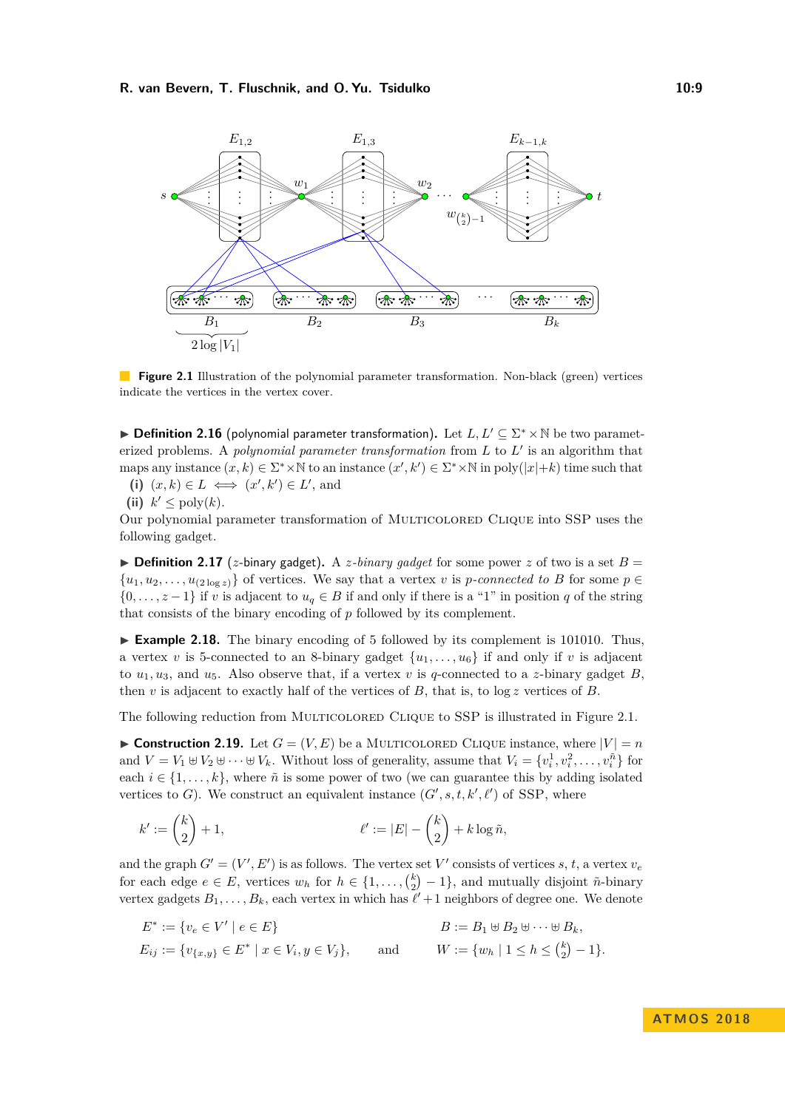<span id="page-8-0"></span>

**Figure 2.1** Illustration of the polynomial parameter transformation. Non-black (green) vertices indicate the vertices in the vertex cover.

► Definition 2.16 (polynomial parameter transformation). Let  $L, L' \subseteq \Sigma^* \times \mathbb{N}$  be two parameterized problems. A *polynomial parameter transformation* from  $L$  to  $L'$  is an algorithm that maps any instance  $(x, k) \in \Sigma^* \times \mathbb{N}$  to an instance  $(x', k') \in \Sigma^* \times \mathbb{N}$  in poly $(|x|+k)$  time such that

(i)  $(x, k) \in L \iff (x', k') \in L'$ , and

(ii)  $k' \leq \text{poly}(k)$ .

Our polynomial parameter transformation of MULTICOLORED CLIQUE into SSP uses the following gadget.

 $\triangleright$  **Definition 2.17** (*z*-binary gadget). A *z*-binary gadget for some power *z* of two is a set  $B =$  $\{u_1, u_2, \ldots, u_{(2 \log z)}\}$  of vertices. We say that a vertex *v* is *p*-connected to *B* for some  $p \in$  $\{0, \ldots, z-1\}$  if *v* is adjacent to  $u_q \in B$  if and only if there is a "1" in position *q* of the string that consists of the binary encoding of *p* followed by its complement.

 $\triangleright$  **Example 2.18.** The binary encoding of 5 followed by its complement is 101010. Thus, a vertex *v* is 5-connected to an 8-binary gadget  $\{u_1, \ldots, u_6\}$  if and only if *v* is adjacent to  $u_1, u_3$ , and  $u_5$ . Also observe that, if a vertex *v* is *q*-connected to a *z*-binary gadget *B*, then  $v$  is adjacent to exactly half of the vertices of  $B$ , that is, to  $\log z$  vertices of  $B$ .

The following reduction from MULTICOLORED CLIQUE to SSP is illustrated in Figure [2.1.](#page-8-0)

<span id="page-8-1"></span>**Construction 2.19.** Let  $G = (V, E)$  be a MULTICOLORED CLIQUE instance, where  $|V| = n$ and  $V = V_1 \oplus V_2 \oplus \cdots \oplus V_k$ . Without loss of generality, assume that  $V_i = \{v_i^1, v_i^2, \ldots, v_i^n\}$  for each  $i \in \{1, \ldots, k\}$ , where  $\tilde{n}$  is some power of two (we can guarantee this by adding isolated vertices to *G*). We construct an equivalent instance  $(G', s, t, k', \ell')$  of SSP, where

$$
k':=\binom{k}{2}+1, \qquad \qquad \ell':=|E|-\binom{k}{2}+k\log \tilde{n},
$$

and the graph  $G' = (V', E')$  is as follows. The vertex set  $V'$  consists of vertices *s*, *t*, a vertex  $v_e$ for each edge  $e \in E$ , vertices  $w_h$  for  $h \in \{1, \ldots, {k \choose 2} - 1\}$ , and mutually disjoint  $\tilde{n}$ -binary vertex gadgets  $B_1, \ldots, B_k$ , each vertex in which has  $\ell' + 1$  neighbors of degree one. We denote

$$
E^* := \{ v_e \in V' \mid e \in E \}
$$
  
\n
$$
E_{ij} := \{ v_{\{x,y\}} \in E^* \mid x \in V_i, y \in V_j \},
$$
  
\n
$$
B := B_1 \oplus B_2 \oplus \cdots \oplus B_k,
$$
  
\n
$$
W := \{ w_h \mid 1 \le h \le \binom{k}{2} - 1 \}.
$$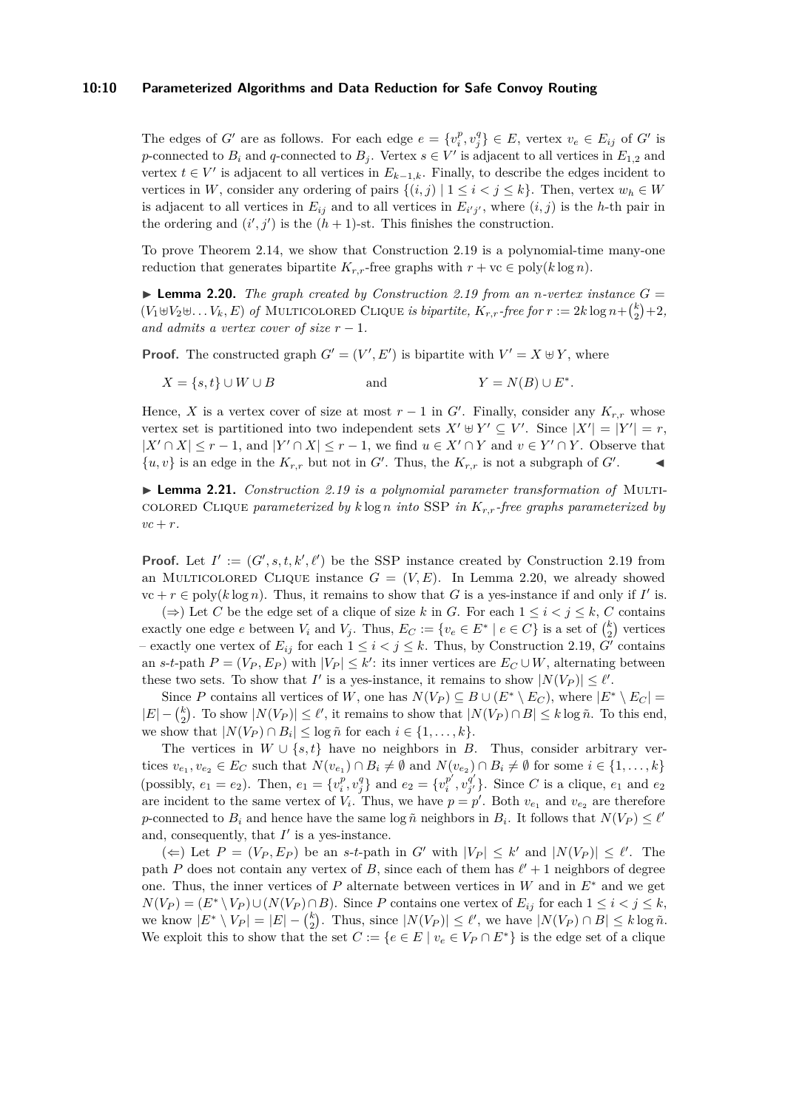#### **10:10 Parameterized Algorithms and Data Reduction for Safe Convoy Routing**

The edges of *G*<sup>*i*</sup> are as follows. For each edge  $e = \{v_i^p, v_j^q\} \in E$ , vertex  $v_e \in E_{ij}$  of *G<sup>i</sup>* is *p*-connected to  $B_i$  and *q*-connected to  $B_j$ . Vertex  $s \in V'$  is adjacent to all vertices in  $E_{1,2}$  and vertex  $t \in V'$  is adjacent to all vertices in  $E_{k-1,k}$ . Finally, to describe the edges incident to vertices in *W*, consider any ordering of pairs  $\{(i,j) | 1 \leq i < j \leq k\}$ . Then, vertex  $w_h \in W$ is adjacent to all vertices in  $E_{ij}$  and to all vertices in  $E_{i'j'}$ , where  $(i, j)$  is the *h*-th pair in the ordering and  $(i', j')$  is the  $(h + 1)$ -st. This finishes the construction.

To prove Theorem [2.14,](#page-7-1) we show that Construction [2.19](#page-8-1) is a polynomial-time many-one reduction that generates bipartite  $K_{r,r}$ -free graphs with  $r + \mathrm{vc} \in \mathrm{poly}(k \log n)$ .

<span id="page-9-0"></span> $\blacktriangleright$  **Lemma 2.20.** *The graph created by Construction [2.19](#page-8-1) from an <i>n*-vertex instance  $G =$  $(V_1 \oplus V_2 \oplus \ldots V_k, E)$  of MULTICOLORED CLIQUE *is bipartite,*  $K_{r,r}$ -free for  $r := 2k \log n + {k \choose 2} + 2$ , *and admits a vertex cover of size*  $r - 1$ *.* 

**Proof.** The constructed graph  $G' = (V', E')$  is bipartite with  $V' = X \oplus Y$ , where

 $X = \{s, t\} \cup W \cup B$  and ∗ *.*

Hence, *X* is a vertex cover of size at most  $r-1$  in *G*<sup> $\prime$ </sup>. Finally, consider any  $K_{r,r}$  whose vertex set is partitioned into two independent sets  $X' \oplus Y' \subseteq V'$ . Since  $|X'| = |Y'| = r$ ,  $|X' \cap X| \leq r - 1$ , and  $|Y' \cap X| \leq r - 1$ , we find  $u \in X' \cap Y$  and  $v \in Y' \cap Y$ . Observe that  $\{u, v\}$  is an edge in the  $K_{r,r}$  but not in  $G'$ . Thus, the  $K_{r,r}$  is not a subgraph of  $G'$  $\mathbf{I}$ 

<span id="page-9-1"></span>I **Lemma 2.21.** *Construction [2.19](#page-8-1) is a polynomial parameter transformation of* Multicolored Clique *parameterized by k* log *n into* SSP *in Kr,r-free graphs parameterized by*  $vc + r$ .

**Proof.** Let  $I' := (G', s, t, k', \ell')$  be the SSP instance created by Construction [2.19](#page-8-1) from an MULTICOLORED CLIQUE instance  $G = (V, E)$ . In Lemma [2.20,](#page-9-0) we already showed  $vc + r \in poly(k \log n)$ . Thus, it remains to show that *G* is a yes-instance if and only if *I'* is.

(⇒) Let *C* be the edge set of a clique of size *k* in *G*. For each  $1 \leq i < j \leq k$ , *C* contains exactly one edge *e* between  $V_i$  and  $V_j$ . Thus,  $E_C := \{v_e \in E^* \mid e \in C\}$  is a set of  $\binom{k}{2}$  vertices – exactly one vertex of  $E_{ij}$  for each  $1 \leq i < j \leq k$ . Thus, by Construction [2.19,](#page-8-1) *G'* contains an *s*-*t*-path  $P = (V_P, E_P)$  with  $|V_P| \leq k'$ : its inner vertices are  $E_C \cup W$ , alternating between these two sets. To show that *I'* is a yes-instance, it remains to show  $|N(V_P)| \leq \ell'$ .

Since *P* contains all vertices of *W*, one has  $N(V_P) \subseteq B \cup (E^* \setminus E_C)$ , where  $|E^* \setminus E_C|$  $|E| - {k \choose 2}$ . To show  $|N(V_P)| ≤ l'$ , it remains to show that  $|N(V_P) ∩ B| ≤ k \log \tilde{n}$ . To this end, we show that  $|N(V_P) \cap B_i| \leq \log \tilde{n}$  for each  $i \in \{1, \ldots, k\}.$ 

The vertices in  $W \cup \{s, t\}$  have no neighbors in *B*. Thus, consider arbitrary vertices  $v_{e_1}, v_{e_2} \in E_C$  such that  $N(v_{e_1}) \cap B_i \neq \emptyset$  and  $N(v_{e_2}) \cap B_i \neq \emptyset$  for some  $i \in \{1, \ldots, k\}$ (possibly,  $e_1 = e_2$ ). Then,  $e_1 = \{v_i^p, v_j^q\}$  and  $e_2 = \{v_i^{p'}\}$  $\overline{p}^{\prime}, \overline{v}^{\overline{q}^{\prime}}_{j^{\prime}}$  $\{g^q_{j'}\}$ . Since *C* is a clique,  $e_1$  and  $e_2$ are incident to the same vertex of  $V_i$ . Thus, we have  $p = p'$ . Both  $v_{e_1}$  and  $v_{e_2}$  are therefore *p*-connected to  $B_i$  and hence have the same log  $\tilde{n}$  neighbors in  $B_i$ . It follows that  $N(V_P) \leq \ell'$ and, consequently, that  $I'$  is a yes-instance.

(←) Let  $P = (V_P, E_P)$  be an *s*-*t*-path in  $G'$  with  $|V_P| ≤ k'$  and  $|N(V_P)| ≤ l'$ . The path *P* does not contain any vertex of *B*, since each of them has  $\ell' + 1$  neighbors of degree one. Thus, the inner vertices of *P* alternate between vertices in *W* and in *E*<sup>∗</sup> and we get  $N(V_P) = (E^* \setminus V_P) \cup (N(V_P) \cap B)$ . Since *P* contains one vertex of  $E_{ij}$  for each  $1 \leq i < j \leq k$ , we know  $|E^* \setminus V_P| = |E| - {k \choose 2}$ . Thus, since  $|N(V_P)| \le \ell'$ , we have  $|N(V_P) \cap B| \le k \log \tilde{n}$ . We exploit this to show that the set  $C := \{e \in E \mid v_e \in V_P \cap E^*\}$  is the edge set of a clique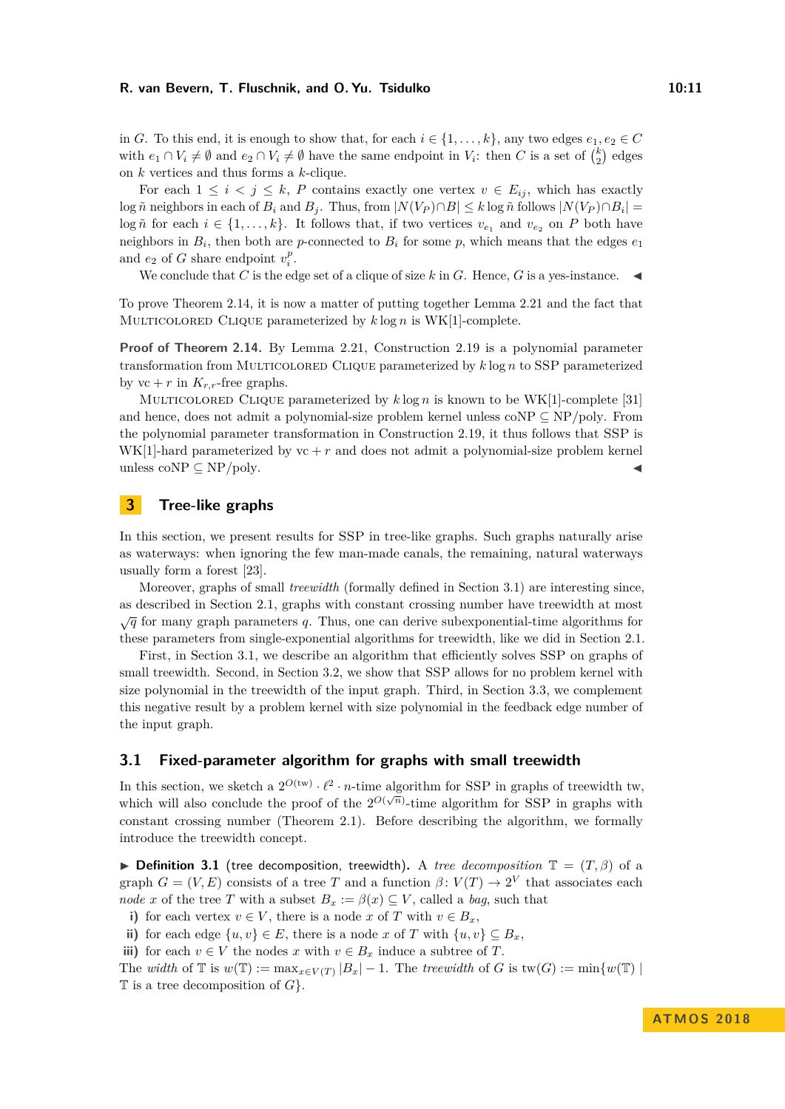in *G*. To this end, it is enough to show that, for each  $i \in \{1, \ldots, k\}$ , any two edges  $e_1, e_2 \in C$ with  $e_1 \cap V_i \neq \emptyset$  and  $e_2 \cap V_i \neq \emptyset$  have the same endpoint in  $V_i$ : then *C* is a set of  $\binom{k}{2}$  edges on *k* vertices and thus forms a *k*-clique.

For each  $1 \leq i \leq j \leq k$ , *P* contains exactly one vertex  $v \in E_{ij}$ , which has exactly  $\log \tilde{n}$  neighbors in each of  $B_i$  and  $B_j$ . Thus, from  $|N(V_P) \cap B| \leq k \log \tilde{n}$  follows  $|N(V_P) \cap B_i|$ log  $\tilde{n}$  for each  $i \in \{1, \ldots, k\}$ . It follows that, if two vertices  $v_{e_1}$  and  $v_{e_2}$  on P both have neighbors in  $B_i$ , then both are *p*-connected to  $B_i$  for some *p*, which means that the edges  $e_1$ and  $e_2$  of *G* share endpoint  $v_i^p$ .

We conclude that *C* is the edge set of a clique of size  $k$  in  $G$ . Hence,  $G$  is a yes-instance.

To prove Theorem [2.14,](#page-7-1) it is now a matter of putting together Lemma [2.21](#page-9-1) and the fact that Multicolored Clique parameterized by *k* log *n* is WK[1]-complete.

**Proof of Theorem [2.14.](#page-7-1)** By Lemma [2.21,](#page-9-1) Construction [2.19](#page-8-1) is a polynomial parameter transformation from Multicolored Clique parameterized by *k* log *n* to SSP parameterized by  $vc + r$  in  $K_{r,r}$ -free graphs.

Multicolored Clique parameterized by *k* log *n* is known to be WK[1]-complete [\[31\]](#page-17-14) and hence, does not admit a polynomial-size problem kernel unless coNP ⊆ NP*/*poly. From the polynomial parameter transformation in Construction [2.19,](#page-8-1) it thus follows that SSP is  $WK[1]$ -hard parameterized by  $vc + r$  and does not admit a polynomial-size problem kernel unless coNP  $\subseteq$  NP/poly.

# <span id="page-10-1"></span>**3 Tree-like graphs**

In this section, we present results for SSP in tree-like graphs. Such graphs naturally arise as waterways: when ignoring the few man-made canals, the remaining, natural waterways usually form a forest [\[23\]](#page-17-0).

Moreover, graphs of small *treewidth* (formally defined in Section [3.1\)](#page-10-0) are interesting since, as described in Section [2.1,](#page-4-0) graphs with constant crossing number have treewidth at most  $\sqrt{q}$  for many graph parameters *q*. Thus, one can derive subexponential-time algorithms for these parameters from single-exponential algorithms for treewidth, like we did in Section [2.1.](#page-4-0)

First, in Section [3.1,](#page-10-0) we describe an algorithm that efficiently solves SSP on graphs of small treewidth. Second, in Section [3.2,](#page-14-0) we show that SSP allows for no problem kernel with size polynomial in the treewidth of the input graph. Third, in Section [3.3,](#page-15-0) we complement this negative result by a problem kernel with size polynomial in the feedback edge number of the input graph.

# <span id="page-10-0"></span>**3.1 Fixed-parameter algorithm for graphs with small treewidth**

In this section, we sketch a  $2^{O(tw)} \cdot \ell^2 \cdot n$ -time algorithm for SSP in graphs of treewidth tw, which will also conclude the proof of the  $2^{O(\sqrt{n})}$ -time algorithm for SSP in graphs with constant crossing number (Theorem [2.1\)](#page-4-2). Before describing the algorithm, we formally introduce the treewidth concept.

<span id="page-10-2"></span>**► Definition 3.1** (tree decomposition, treewidth). A *tree decomposition*  $\mathbb{T} = (T, \beta)$  of a graph  $G = (V, E)$  consists of a tree *T* and a function  $\beta: V(T) \to 2^V$  that associates each *node x* of the tree *T* with a subset  $B_x := \beta(x) \subseteq V$ , called a *bag*, such that

**i**) for each vertex  $v \in V$ , there is a node *x* of *T* with  $v \in B_x$ ,

<span id="page-10-3"></span>ii) for each edge  $\{u, v\}$  ∈ *E*, there is a node *x* of *T* with  $\{u, v\}$  ⊆ *B<sub>x</sub>*,

<span id="page-10-4"></span>**iii)** for each  $v \in V$  the nodes *x* with  $v \in B_x$  induce a subtree of *T*.

The *width* of  $\mathbb T$  is  $w(\mathbb T) := \max_{x \in V(T)} |B_x| - 1$ . The *treewidth* of *G* is  $\text{tw}(G) := \min\{w(\mathbb T) \mid$ T is a tree decomposition of *G*}.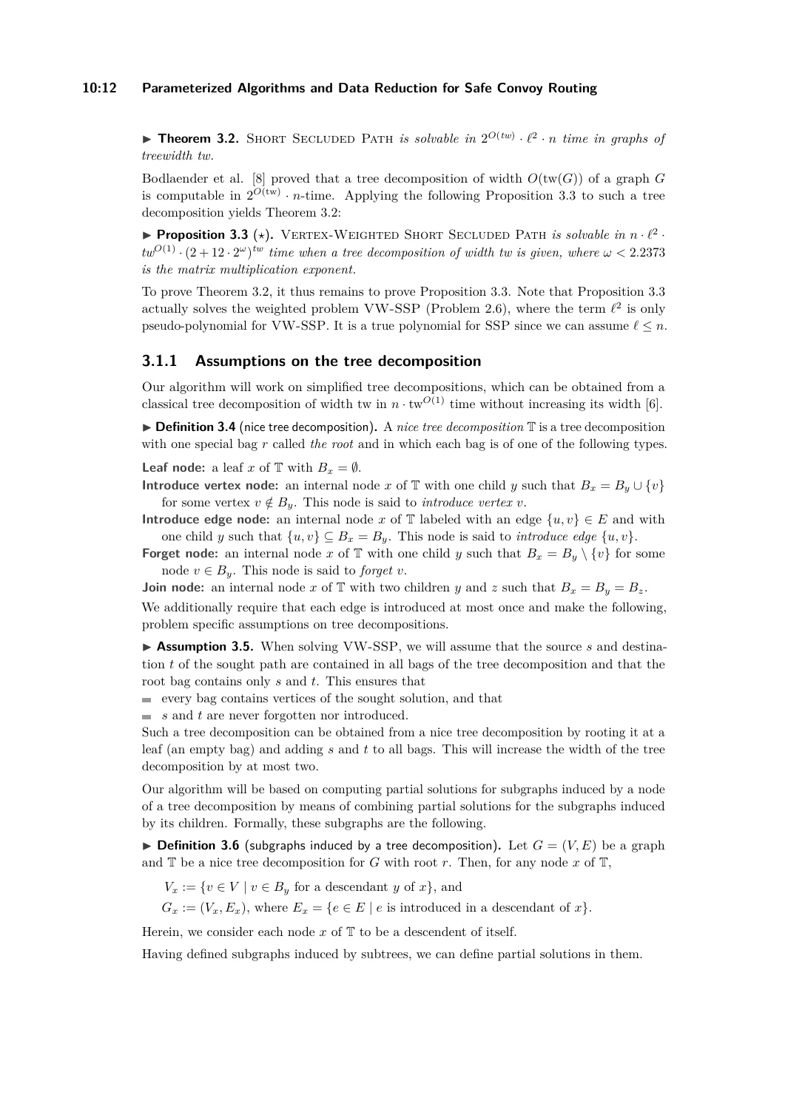#### **10:12 Parameterized Algorithms and Data Reduction for Safe Convoy Routing**

<span id="page-11-0"></span>**Theorem 3.2.** SHORT SECLUDED PATH *is solvable in*  $2^{O(tw)} \cdot \ell^2 \cdot n$  *time in graphs of treewidth tw.*

Bodlaender et al. [\[8\]](#page-16-14) proved that a tree decomposition of width  $O(tw(G))$  of a graph *G* is computable in  $2^{O(tw)} \cdot n$ -time. Applying the following Proposition [3.3](#page-11-1) to such a tree decomposition yields Theorem [3.2:](#page-11-0)

<span id="page-11-1"></span>**• Proposition 3.3** (\*). VERTEX-WEIGHTED SHORT SECLUDED PATH *is solvable in*  $n \cdot \ell^2$ .  $tw^{O(1)} \cdot (2 + 12 \cdot 2^{\omega})^{tw}$  *time when a tree decomposition of width tw is given, where*  $\omega < 2.2373$ *is the matrix multiplication exponent.*

To prove Theorem [3.2,](#page-11-0) it thus remains to prove Proposition [3.3.](#page-11-1) Note that Proposition [3.3](#page-11-1) actually solves the weighted problem VW-SSP (Problem [2.6\)](#page-5-3), where the term  $\ell^2$  is only pseudo-polynomial for VW-SSP. It is a true polynomial for SSP since we can assume  $\ell \leq n$ .

# **3.1.1 Assumptions on the tree decomposition**

Our algorithm will work on simplified tree decompositions, which can be obtained from a classical tree decomposition of width tw in  $n \cdot \text{tw}^{O(1)}$  time without increasing its width [\[6\]](#page-16-15).

▶ **Definition 3.4** (nice tree decomposition). A *nice tree decomposition* T is a tree decomposition with one special bag *r* called *the root* and in which each bag is of one of the following types.

**Leaf node:** a leaf *x* of  $\mathbb{T}$  with  $B_x = \emptyset$ .

**Introduce vertex node:** an internal node *x* of T with one child *y* such that  $B_x = B_y \cup \{v\}$ for some vertex  $v \notin B_y$ . This node is said to *introduce vertex*  $v$ .

**Introduce edge node:** an internal node *x* of  $\mathbb{T}$  labeled with an edge  $\{u, v\} \in E$  and with one child *y* such that  $\{u, v\} \subseteq B_x = B_y$ . This node is said to *introduce edge*  $\{u, v\}$ .

**Forget node:** an internal node *x* of  $\mathbb{T}$  with one child *y* such that  $B_x = B_y \setminus \{v\}$  for some node  $v \in B_u$ . This node is said to *forget v*.

**Join node:** an internal node *x* of  $\mathbb{T}$  with two children *y* and *z* such that  $B_x = B_y = B_z$ .

We additionally require that each edge is introduced at most once and make the following, problem specific assumptions on tree decompositions.

<span id="page-11-2"></span>▶ Assumption 3.5. When solving VW-SSP, we will assume that the source *s* and destination *t* of the sought path are contained in all bags of the tree decomposition and that the root bag contains only *s* and *t*. This ensures that

 $\equiv$  every bag contains vertices of the sought solution, and that

*s* and *t* are never forgotten nor introduced.

Such a tree decomposition can be obtained from a nice tree decomposition by rooting it at a leaf (an empty bag) and adding *s* and *t* to all bags. This will increase the width of the tree decomposition by at most two.

Our algorithm will be based on computing partial solutions for subgraphs induced by a node of a tree decomposition by means of combining partial solutions for the subgraphs induced by its children. Formally, these subgraphs are the following.

 $\triangleright$  **Definition 3.6** (subgraphs induced by a tree decomposition). Let  $G = (V, E)$  be a graph and  $\mathbb T$  be a nice tree decomposition for *G* with root *r*. Then, for any node  $x$  of  $\mathbb T$ ,

 $V_x := \{v \in V \mid v \in B_y \text{ for a descendant } y \text{ of } x\},\$ 

 $G_x := (V_x, E_x)$ , where  $E_x = \{e \in E \mid e \text{ is introduced in a descendant of } x\}.$ 

Herein, we consider each node  $x$  of  $\mathbb T$  to be a descendent of itself.

Having defined subgraphs induced by subtrees, we can define partial solutions in them.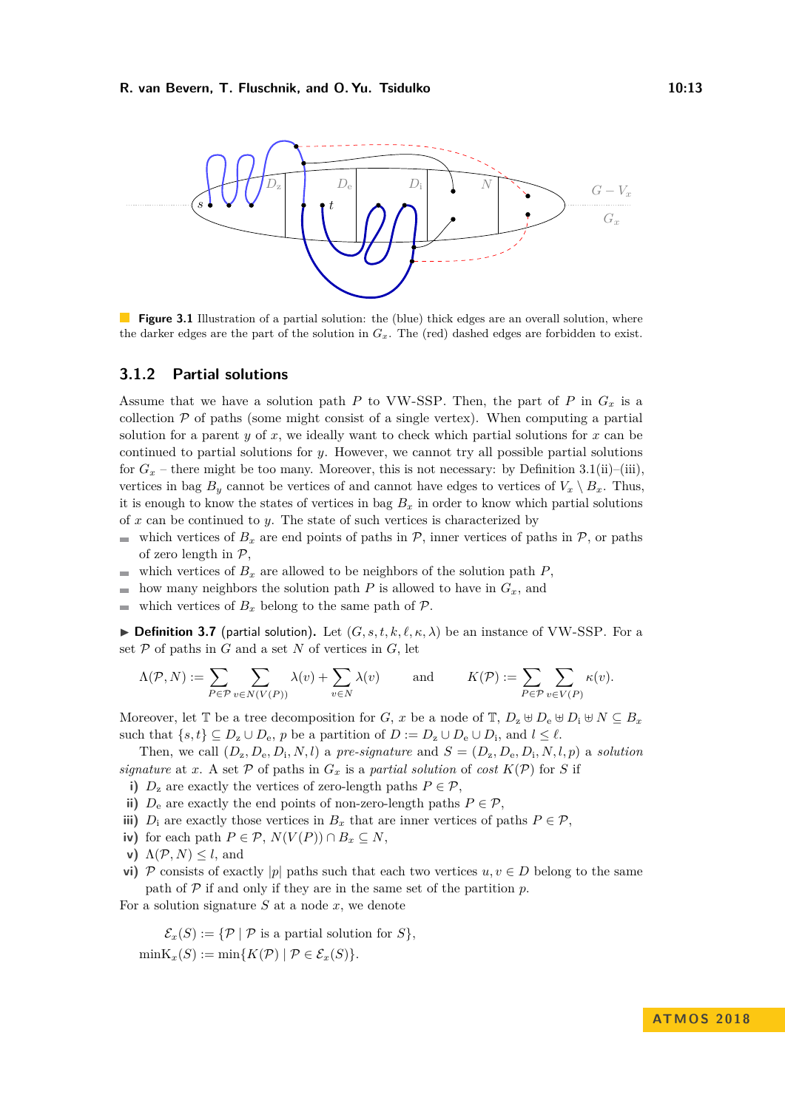

**Figure 3.1** Illustration of a partial solution: the (blue) thick edges are an overall solution, where the darker edges are the part of the solution in  $G_x$ . The (red) dashed edges are forbidden to exist.

# **3.1.2 Partial solutions**

Assume that we have a solution path *P* to VW-SSP. Then, the part of *P* in  $G_x$  is a collection  $P$  of paths (some might consist of a single vertex). When computing a partial solution for a parent *y* of *x*, we ideally want to check which partial solutions for *x* can be continued to partial solutions for *y*. However, we cannot try all possible partial solutions for  $G_x$  – there might be too many. Moreover, this is not necessary: by Definition [3.1\(](#page-10-2)[ii\)](#page-10-3)–[\(iii\)](#page-10-4), vertices in bag  $B_y$  cannot be vertices of and cannot have edges to vertices of  $V_x \setminus B_x$ . Thus, it is enough to know the states of vertices in bag  $B_x$  in order to know which partial solutions of *x* can be continued to *y*. The state of such vertices is characterized by

- $\mathcal{L}_{\mathcal{A}}$ which vertices of  $B_x$  are end points of paths in  $P$ , inner vertices of paths in  $P$ , or paths of zero length in  $P$ ,
- which vertices of  $B_x$  are allowed to be neighbors of the solution path  $P$ , ÷
- how many neighbors the solution path  $P$  is allowed to have in  $G_x$ , and
- which vertices of  $B_x$  belong to the same path of  $\mathcal{P}$ .

<span id="page-12-0"></span>**Definition 3.7** (partial solution). Let  $(G, s, t, k, \ell, \kappa, \lambda)$  be an instance of VW-SSP. For a set  $P$  of paths in  $G$  and a set  $N$  of vertices in  $G$ , let

$$
\Lambda(\mathcal{P},N):=\sum_{P\in\mathcal{P}}\sum_{v\in N(V(P))}\lambda(v)+\sum_{v\in N}\lambda(v)\qquad \text{ and }\qquad K(\mathcal{P}):=\sum_{P\in\mathcal{P}}\sum_{v\in V(P)}\kappa(v).
$$

Moreover, let  $\mathbb{T}$  be a tree decomposition for *G*, *x* be a node of  $\mathbb{T}$ ,  $D_z \oplus D_e \oplus D_i \oplus N \subseteq B_x$ such that  $\{s, t\} \subseteq D_z \cup D_e$ , *p* be a partition of  $D := D_z \cup D_e \cup D_i$ , and  $l \leq \ell$ .

Then, we call  $(D_z, D_e, D_i, N, l)$  a *pre-signature* and  $S = (D_z, D_e, D_i, N, l, p)$  a *solution signature* at *x*. A set  $P$  of paths in  $G_x$  is a *partial solution* of *cost*  $K(P)$  for *S* if

- **i)**  $D_z$  are exactly the vertices of zero-length paths  $P \in \mathcal{P}$ ,
- **ii)**  $D_e$  are exactly the end points of non-zero-length paths  $P \in \mathcal{P}$ ,
- **iii)** *D*<sub>i</sub> are exactly those vertices in  $B_x$  that are inner vertices of paths  $P \in \mathcal{P}$ ,
- *iv*) for each path  $P \in \mathcal{P}$ ,  $N(V(P)) \cap B_x \subseteq N$ ,
- **v**)  $\Lambda(\mathcal{P}, N) \leq l$ , and
- **vi)** P consists of exactly |p| paths such that each two vertices  $u, v \in D$  belong to the same path of  $P$  if and only if they are in the same set of the partition  $p$ .

For a solution signature *S* at a node *x*, we denote

 $\mathcal{E}_x(S) := \{ \mathcal{P} \mid \mathcal{P} \text{ is a partial solution for } S \},$  $\min K_x(S) := \min \{ K(\mathcal{P}) \mid \mathcal{P} \in \mathcal{E}_x(S) \}.$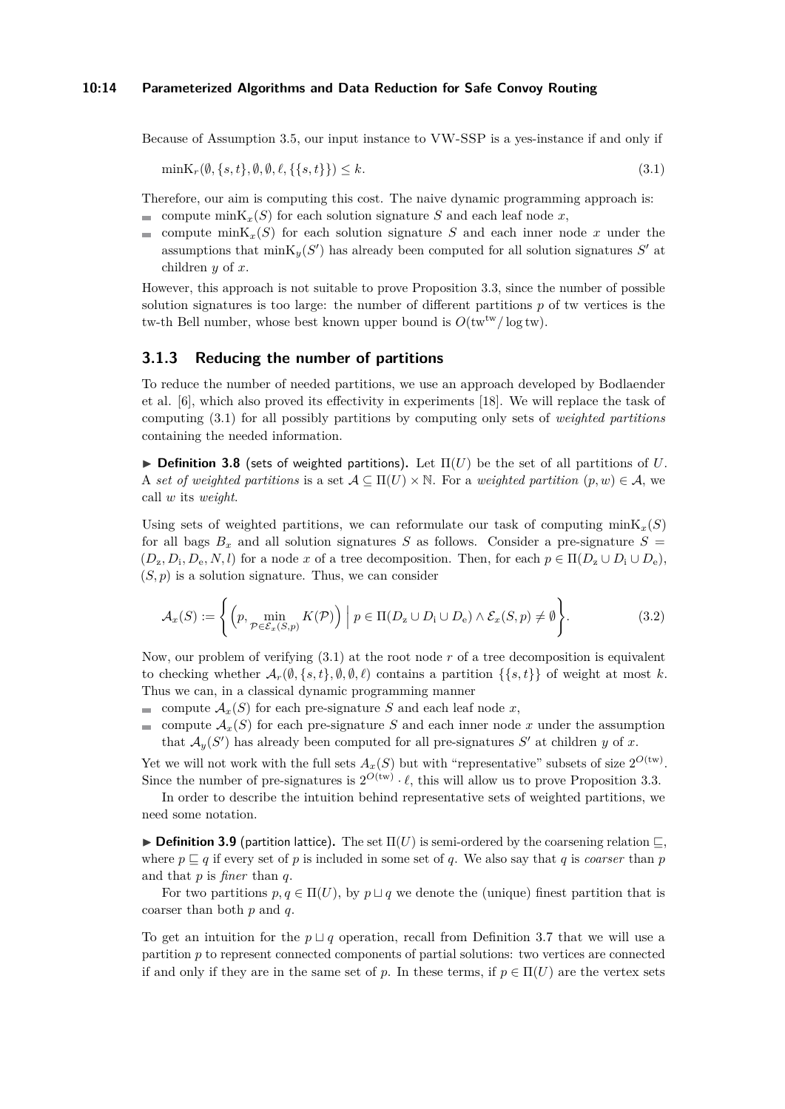Because of Assumption [3.5,](#page-11-2) our input instance to VW-SSP is a yes-instance if and only if

<span id="page-13-0"></span>
$$
\min \mathcal{K}_r(\emptyset, \{s, t\}, \emptyset, \emptyset, \ell, \{\{s, t\}\}) \le k. \tag{3.1}
$$

Therefore, our aim is computing this cost. The naive dynamic programming approach is: compute  $\min K_x(S)$  for each solution signature *S* and each leaf node *x*,

compute  $\text{minK}_{x}(S)$  for each solution signature *S* and each inner node *x* under the assumptions that  $\min{\textbf{K}_y(S')}$  has already been computed for all solution signatures *S'* at children *y* of *x*.

However, this approach is not suitable to prove Proposition [3.3,](#page-11-1) since the number of possible solution signatures is too large: the number of different partitions *p* of tw vertices is the tw-th Bell number, whose best known upper bound is  $O(tw^{tw}/\log tw)$ .

# **3.1.3 Reducing the number of partitions**

To reduce the number of needed partitions, we use an approach developed by Bodlaender et al. [\[6\]](#page-16-15), which also proved its effectivity in experiments [\[18\]](#page-16-16). We will replace the task of computing [\(3.1\)](#page-13-0) for all possibly partitions by computing only sets of *weighted partitions* containing the needed information.

 $\triangleright$  **Definition 3.8** (sets of weighted partitions). Let  $\Pi(U)$  be the set of all partitions of U. A *set of weighted partitions* is a set  $A \subseteq \Pi(U) \times \mathbb{N}$ . For a *weighted partition*  $(p, w) \in \mathcal{A}$ , we call *w* its *weight*.

Using sets of weighted partitions, we can reformulate our task of computing  $\min K_x(S)$ for all bags  $B_x$  and all solution signatures *S* as follows. Consider a pre-signature  $S =$  $(D_z, D_i, D_e, N, l)$  for a node *x* of a tree decomposition. Then, for each  $p \in \Pi(D_z \cup D_i \cup D_e)$ ,  $(S, p)$  is a solution signature. Thus, we can consider

<span id="page-13-1"></span>
$$
\mathcal{A}_x(S) := \left\{ \left( p, \min_{\mathcal{P} \in \mathcal{E}_x(S, p)} K(\mathcal{P}) \right) \middle| p \in \Pi(D_z \cup D_i \cup D_e) \land \mathcal{E}_x(S, p) \neq \emptyset \right\}.
$$
\n(3.2)

Now, our problem of verifying [\(3.1\)](#page-13-0) at the root node *r* of a tree decomposition is equivalent to checking whether  $\mathcal{A}_r(\emptyset, \{s, t\}, \emptyset, \emptyset, \ell)$  contains a partition  $\{\{s, t\}\}\$  of weight at most k. Thus we can, in a classical dynamic programming manner

compute  $\mathcal{A}_x(S)$  for each pre-signature *S* and each leaf node *x*,

 $\equiv$ compute  $A_x(S)$  for each pre-signature *S* and each inner node *x* under the assumption that  $\mathcal{A}_y(S')$  has already been computed for all pre-signatures  $S'$  at children *y* of *x*.

Yet we will not work with the full sets  $A_x(S)$  but with "representative" subsets of size  $2^{O(tw)}$ . Since the number of pre-signatures is  $2^{O(tw)} \cdot \ell$ , this will allow us to prove Proposition [3.3.](#page-11-1)

In order to describe the intuition behind representative sets of weighted partitions, we need some notation.

**Definition 3.9** (partition lattice). The set  $\Pi(U)$  is semi-ordered by the coarsening relation  $\sqsubseteq$ , where  $p \sqsubseteq q$  if every set of p is included in some set of q. We also say that q is *coarser* than p and that *p* is *finer* than *q*.

For two partitions  $p, q \in \Pi(U)$ , by  $p \sqcup q$  we denote the (unique) finest partition that is coarser than both *p* and *q*.

To get an intuition for the  $p \sqcup q$  operation, recall from Definition [3.7](#page-12-0) that we will use a partition *p* to represent connected components of partial solutions: two vertices are connected if and only if they are in the same set of *p*. In these terms, if  $p \in \Pi(U)$  are the vertex sets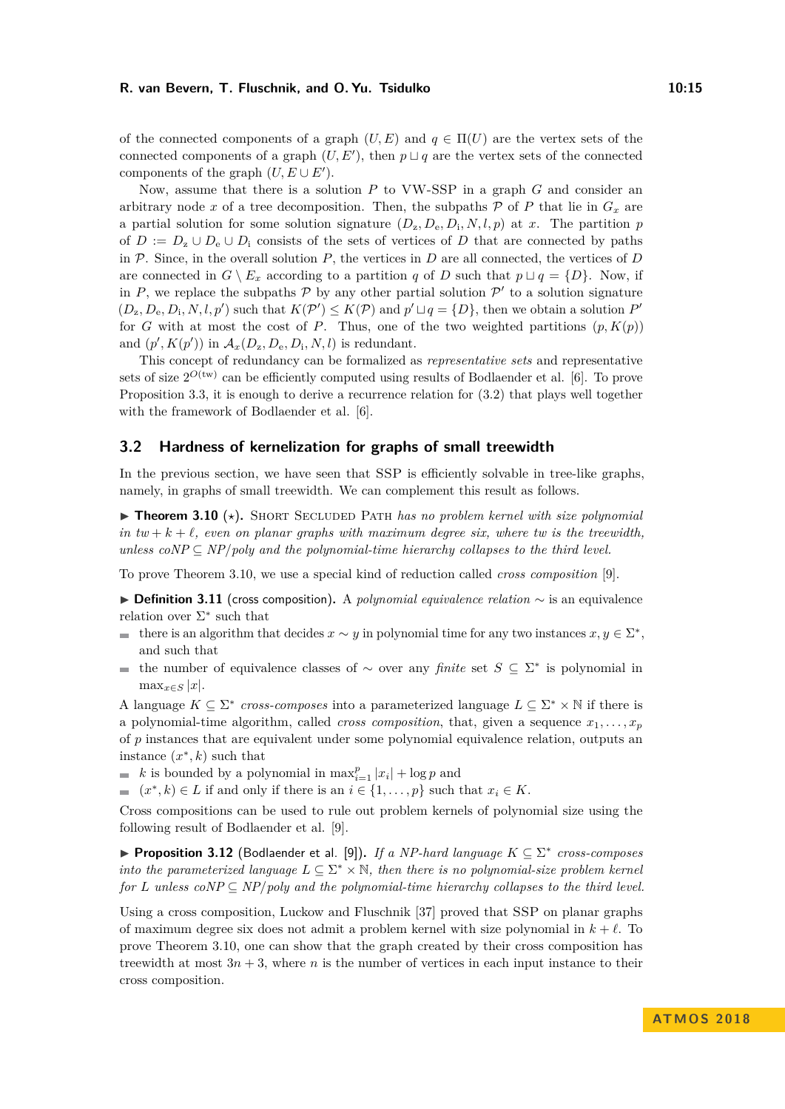of the connected components of a graph  $(U, E)$  and  $q \in \Pi(U)$  are the vertex sets of the connected components of a graph  $(U, E')$ , then  $p \sqcup q$  are the vertex sets of the connected components of the graph  $(U, E \cup E')$ .

Now, assume that there is a solution *P* to VW-SSP in a graph *G* and consider an arbitrary node *x* of a tree decomposition. Then, the subpaths  $P$  of  $P$  that lie in  $G_x$  are a partial solution for some solution signature  $(D_z, D_e, D_i, N, l, p)$  at *x*. The partition *p* of  $D := D_z \cup D_e \cup D_i$  consists of the sets of vertices of *D* that are connected by paths in  $P$ . Since, in the overall solution  $P$ , the vertices in  $D$  are all connected, the vertices of  $D$ are connected in  $G \setminus E_x$  according to a partition *q* of *D* such that  $p \sqcup q = \{D\}$ . Now, if in *P*, we replace the subpaths  $P$  by any other partial solution  $P'$  to a solution signature  $(D_z, D_e, D_i, N, l, p')$  such that  $K(\mathcal{P}') \leq K(\mathcal{P})$  and  $p' \sqcup q = \{D\}$ , then we obtain a solution  $P'$ for *G* with at most the cost of *P*. Thus, one of the two weighted partitions  $(p, K(p))$ and  $(p', K(p'))$  in  $\mathcal{A}_x(D_z, D_e, D_i, N, l)$  is redundant.

This concept of redundancy can be formalized as *representative sets* and representative sets of size  $2^{O(tw)}$  can be efficiently computed using results of Bodlaender et al. [\[6\]](#page-16-15). To prove Proposition [3.3,](#page-11-1) it is enough to derive a recurrence relation for [\(3.2\)](#page-13-1) that plays well together with the framework of Bodlaender et al. [\[6\]](#page-16-15).

#### <span id="page-14-0"></span>**3.2 Hardness of kernelization for graphs of small treewidth**

In the previous section, we have seen that SSP is efficiently solvable in tree-like graphs, namely, in graphs of small treewidth. We can complement this result as follows.

<span id="page-14-1"></span> $\triangleright$  **Theorem 3.10** ( $\star$ ). SHORT SECLUDED PATH *has no problem kernel with size polynomial in*  $tw + k + \ell$ , even on planar graphs with maximum degree six, where tw is the treewidth, *unless coNP*  $\subseteq$  *NP*/*poly and the polynomial-time hierarchy collapses to the third level.* 

To prove Theorem [3.10,](#page-14-1) we use a special kind of reduction called *cross composition* [\[9\]](#page-16-8).

I **Definition 3.11** (cross composition)**.** A *polynomial equivalence relation* ∼ is an equivalence relation over  $\Sigma^*$  such that

- there is an algorithm that decides  $x \sim y$  in polynomial time for any two instances  $x, y \in \Sigma^*$ , and such that
- the number of equivalence classes of  $\sim$  over any *finite* set  $S \subseteq \Sigma^*$  is polynomial in  $\mathbf{r}$  $\max_{x \in S} |x|$ .

A language  $K \subseteq \Sigma^*$  cross-composes into a parameterized language  $L \subseteq \Sigma^* \times \mathbb{N}$  if there is a polynomial-time algorithm, called *cross composition*, that, given a sequence  $x_1, \ldots, x_p$ of *p* instances that are equivalent under some polynomial equivalence relation, outputs an instance  $(x^*, k)$  such that

*k* is bounded by a polynomial in  $\max_{i=1}^{p} |x_i| + \log p$  and

 $(x^*, k)$  ∈ *L* if and only if there is an  $i \in \{1, \ldots, p\}$  such that  $x_i \in K$ .

Cross compositions can be used to rule out problem kernels of polynomial size using the following result of Bodlaender et al. [\[9\]](#page-16-8).

▶ Proposition 3.12 (Bodlaender et al. [\[9\]](#page-16-8)). *If a NP-hard language*  $K \subseteq \Sigma^*$  cross-composes *into the parameterized language*  $L \subseteq \Sigma^* \times \mathbb{N}$ , then there is no polynomial-size problem kernel *for L unless*  $coNP \subseteq NP/poly$  *and the polynomial-time hierarchy collapses to the third level.* 

Using a cross composition, Luckow and Fluschnik [\[37\]](#page-17-9) proved that SSP on planar graphs of maximum degree six does not admit a problem kernel with size polynomial in  $k + \ell$ . To prove Theorem [3.10,](#page-14-1) one can show that the graph created by their cross composition has treewidth at most  $3n + 3$ , where *n* is the number of vertices in each input instance to their cross composition.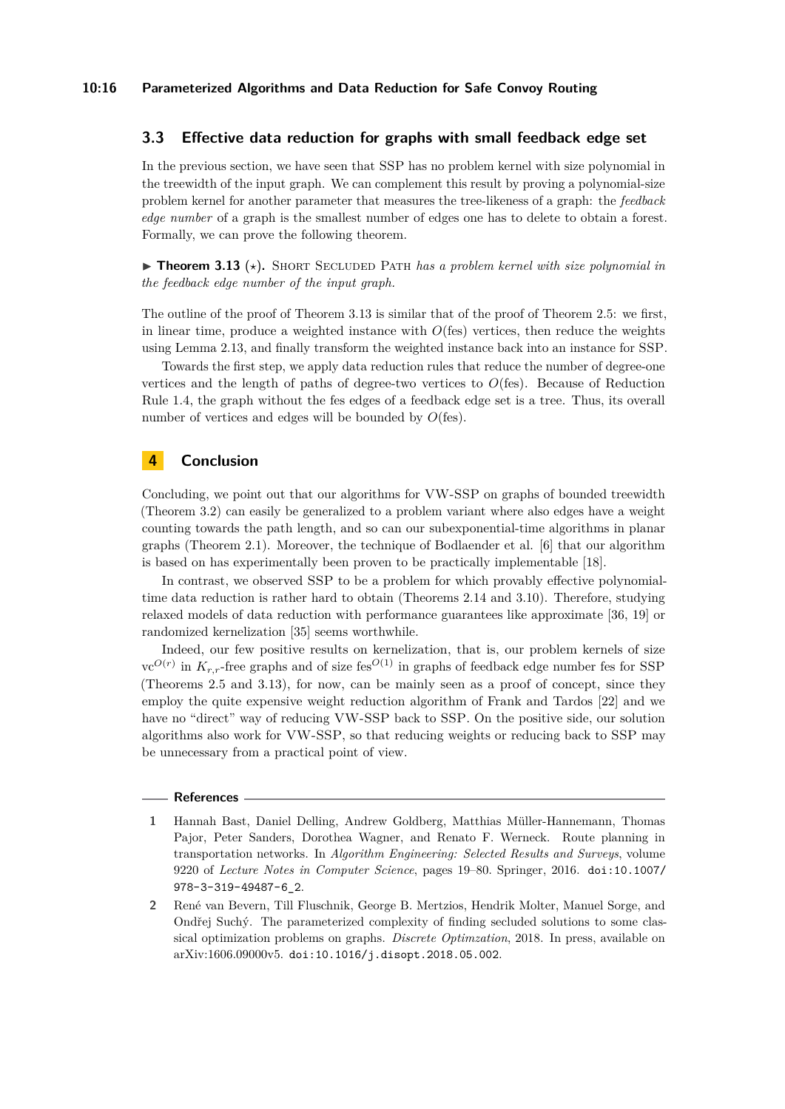# <span id="page-15-0"></span>**3.3 Effective data reduction for graphs with small feedback edge set**

In the previous section, we have seen that SSP has no problem kernel with size polynomial in the treewidth of the input graph. We can complement this result by proving a polynomial-size problem kernel for another parameter that measures the tree-likeness of a graph: the *feedback edge number* of a graph is the smallest number of edges one has to delete to obtain a forest. Formally, we can prove the following theorem.

<span id="page-15-2"></span> $\triangleright$  **Theorem 3.13** ( $\star$ ). SHORT SECLUDED PATH *has a problem kernel with size polynomial in the feedback edge number of the input graph.*

The outline of the proof of Theorem [3.13](#page-15-2) is similar that of the proof of Theorem [2.5:](#page-5-1) we first, in linear time, produce a weighted instance with  $O(\text{fes})$  vertices, then reduce the weights using Lemma [2.13,](#page-6-5) and finally transform the weighted instance back into an instance for SSP.

Towards the first step, we apply data reduction rules that reduce the number of degree-one vertices and the length of paths of degree-two vertices to *O*(fes). Because of Reduction Rule [1.4,](#page-3-0) the graph without the fes edges of a feedback edge set is a tree. Thus, its overall number of vertices and edges will be bounded by  $O(\text{fes})$ .

# **4 Conclusion**

Concluding, we point out that our algorithms for VW-SSP on graphs of bounded treewidth (Theorem [3.2\)](#page-11-0) can easily be generalized to a problem variant where also edges have a weight counting towards the path length, and so can our subexponential-time algorithms in planar graphs (Theorem [2.1\)](#page-4-2). Moreover, the technique of Bodlaender et al. [\[6\]](#page-16-15) that our algorithm is based on has experimentally been proven to be practically implementable [\[18\]](#page-16-16).

In contrast, we observed SSP to be a problem for which provably effective polynomialtime data reduction is rather hard to obtain (Theorems [2.14](#page-7-1) and [3.10\)](#page-14-1). Therefore, studying relaxed models of data reduction with performance guarantees like approximate [\[36,](#page-17-15) [19\]](#page-16-17) or randomized kernelization [\[35\]](#page-17-16) seems worthwhile.

Indeed, our few positive results on kernelization, that is, our problem kernels of size  $vc^{O(r)}$  in  $K_{r,r}$ -free graphs and of size fes<sup> $O(1)$ </sup> in graphs of feedback edge number fes for SSP (Theorems [2.5](#page-5-1) and [3.13\)](#page-15-2), for now, can be mainly seen as a proof of concept, since they employ the quite expensive weight reduction algorithm of Frank and Tardos [\[22\]](#page-17-13) and we have no "direct" way of reducing VW-SSP back to SSP. On the positive side, our solution algorithms also work for VW-SSP, so that reducing weights or reducing back to SSP may be unnecessary from a practical point of view.

#### **References**

- <span id="page-15-1"></span>**1** Hannah Bast, Daniel Delling, Andrew Goldberg, Matthias Müller-Hannemann, Thomas Pajor, Peter Sanders, Dorothea Wagner, and Renato F. Werneck. Route planning in transportation networks. In *Algorithm Engineering: Selected Results and Surveys*, volume 9220 of *Lecture Notes in Computer Science*, pages 19–80. Springer, 2016. [doi:10.1007/](http://dx.doi.org/10.1007/978-3-319-49487-6_2) [978-3-319-49487-6\\_2](http://dx.doi.org/10.1007/978-3-319-49487-6_2).
- <span id="page-15-3"></span>**2** René van Bevern, Till Fluschnik, George B. Mertzios, Hendrik Molter, Manuel Sorge, and Ondřej Suchý. The parameterized complexity of finding secluded solutions to some classical optimization problems on graphs. *Discrete Optimzation*, 2018. In press, available on arXiv:1606.09000v5. [doi:10.1016/j.disopt.2018.05.002](http://dx.doi.org/10.1016/j.disopt.2018.05.002).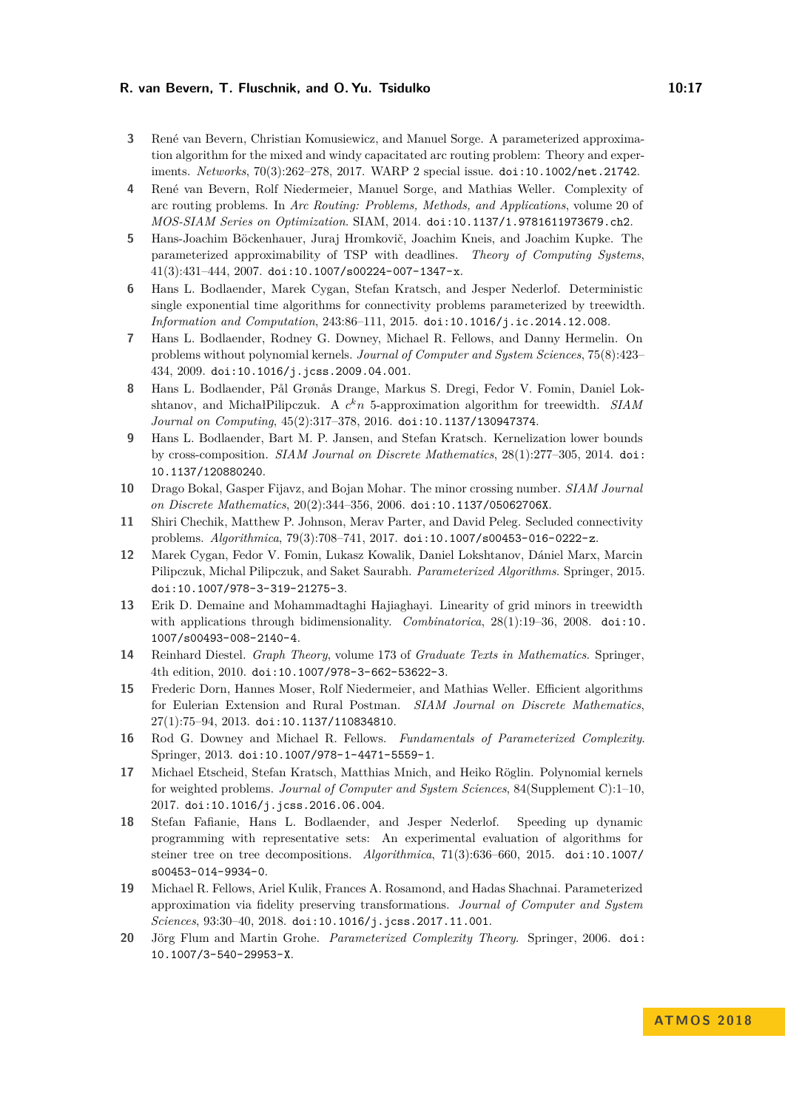- <span id="page-16-3"></span>**3** René van Bevern, Christian Komusiewicz, and Manuel Sorge. A parameterized approximation algorithm for the mixed and windy capacitated arc routing problem: Theory and experiments. *Networks*, 70(3):262–278, 2017. WARP 2 special issue. [doi:10.1002/net.21742](http://dx.doi.org/10.1002/net.21742).
- <span id="page-16-4"></span>**4** René van Bevern, Rolf Niedermeier, Manuel Sorge, and Mathias Weller. Complexity of arc routing problems. In *Arc Routing: Problems, Methods, and Applications*, volume 20 of *MOS-SIAM Series on Optimization*. SIAM, 2014. [doi:10.1137/1.9781611973679.ch2](http://dx.doi.org/10.1137/1.9781611973679.ch2).
- <span id="page-16-6"></span>**5** Hans-Joachim Böckenhauer, Juraj Hromkovič, Joachim Kneis, and Joachim Kupke. The parameterized approximability of TSP with deadlines. *Theory of Computing Systems*, 41(3):431–444, 2007. [doi:10.1007/s00224-007-1347-x](http://dx.doi.org/10.1007/s00224-007-1347-x).
- <span id="page-16-15"></span>**6** Hans L. Bodlaender, Marek Cygan, Stefan Kratsch, and Jesper Nederlof. Deterministic single exponential time algorithms for connectivity problems parameterized by treewidth. *Information and Computation*, 243:86–111, 2015. [doi:10.1016/j.ic.2014.12.008](http://dx.doi.org/10.1016/j.ic.2014.12.008).
- <span id="page-16-7"></span>**7** Hans L. Bodlaender, Rodney G. Downey, Michael R. Fellows, and Danny Hermelin. On problems without polynomial kernels. *Journal of Computer and System Sciences*, 75(8):423– 434, 2009. [doi:10.1016/j.jcss.2009.04.001](http://dx.doi.org/10.1016/j.jcss.2009.04.001).
- <span id="page-16-14"></span>**8** Hans L. Bodlaender, Pål Grønås Drange, Markus S. Dregi, Fedor V. Fomin, Daniel Lokshtanov, and MichałPilipczuk. A *c <sup>k</sup>n* 5-approximation algorithm for treewidth. *SIAM Journal on Computing*, 45(2):317–378, 2016. [doi:10.1137/130947374](http://dx.doi.org/10.1137/130947374).
- <span id="page-16-8"></span>**9** Hans L. Bodlaender, Bart M. P. Jansen, and Stefan Kratsch. Kernelization lower bounds by cross-composition. *SIAM Journal on Discrete Mathematics*, 28(1):277–305, 2014. [doi:](http://dx.doi.org/10.1137/120880240) [10.1137/120880240](http://dx.doi.org/10.1137/120880240).
- <span id="page-16-11"></span>**10** Drago Bokal, Gasper Fijavz, and Bojan Mohar. The minor crossing number. *SIAM Journal on Discrete Mathematics*, 20(2):344–356, 2006. [doi:10.1137/05062706X](http://dx.doi.org/10.1137/05062706X).
- <span id="page-16-9"></span>**11** Shiri Chechik, Matthew P. Johnson, Merav Parter, and David Peleg. Secluded connectivity problems. *Algorithmica*, 79(3):708–741, 2017. [doi:10.1007/s00453-016-0222-z](http://dx.doi.org/10.1007/s00453-016-0222-z).
- <span id="page-16-2"></span>**12** Marek Cygan, Fedor V. Fomin, Lukasz Kowalik, Daniel Lokshtanov, Dániel Marx, Marcin Pilipczuk, Michal Pilipczuk, and Saket Saurabh. *Parameterized Algorithms*. Springer, 2015. [doi:10.1007/978-3-319-21275-3](http://dx.doi.org/10.1007/978-3-319-21275-3).
- <span id="page-16-12"></span>**13** Erik D. Demaine and Mohammadtaghi Hajiaghayi. Linearity of grid minors in treewidth with applications through bidimensionality. *Combinatorica*, 28(1):19–36, 2008. [doi:10.](http://dx.doi.org/10.1007/s00493-008-2140-4) [1007/s00493-008-2140-4](http://dx.doi.org/10.1007/s00493-008-2140-4).
- <span id="page-16-10"></span>**14** Reinhard Diestel. *Graph Theory*, volume 173 of *Graduate Texts in Mathematics*. Springer, 4th edition, 2010. [doi:10.1007/978-3-662-53622-3](http://dx.doi.org/10.1007/978-3-662-53622-3).
- <span id="page-16-5"></span>**15** Frederic Dorn, Hannes Moser, Rolf Niedermeier, and Mathias Weller. Efficient algorithms for Eulerian Extension and Rural Postman. *SIAM Journal on Discrete Mathematics*, 27(1):75–94, 2013. [doi:10.1137/110834810](http://dx.doi.org/10.1137/110834810).
- <span id="page-16-0"></span>**16** Rod G. Downey and Michael R. Fellows. *Fundamentals of Parameterized Complexity*. Springer, 2013. [doi:10.1007/978-1-4471-5559-1](http://dx.doi.org/10.1007/978-1-4471-5559-1).
- <span id="page-16-13"></span>**17** Michael Etscheid, Stefan Kratsch, Matthias Mnich, and Heiko Röglin. Polynomial kernels for weighted problems. *Journal of Computer and System Sciences*, 84(Supplement C):1–10, 2017. [doi:10.1016/j.jcss.2016.06.004](http://dx.doi.org/10.1016/j.jcss.2016.06.004).
- <span id="page-16-16"></span>**18** Stefan Fafianie, Hans L. Bodlaender, and Jesper Nederlof. Speeding up dynamic programming with representative sets: An experimental evaluation of algorithms for steiner tree on tree decompositions. *Algorithmica*, 71(3):636–660, 2015. [doi:10.1007/](http://dx.doi.org/10.1007/s00453-014-9934-0) [s00453-014-9934-0](http://dx.doi.org/10.1007/s00453-014-9934-0).
- <span id="page-16-17"></span>**19** Michael R. Fellows, Ariel Kulik, Frances A. Rosamond, and Hadas Shachnai. Parameterized approximation via fidelity preserving transformations. *Journal of Computer and System Sciences*, 93:30–40, 2018. [doi:10.1016/j.jcss.2017.11.001](http://dx.doi.org/10.1016/j.jcss.2017.11.001).
- <span id="page-16-1"></span>**20** Jörg Flum and Martin Grohe. *Parameterized Complexity Theory*. Springer, 2006. [doi:](http://dx.doi.org/10.1007/3-540-29953-X) [10.1007/3-540-29953-X](http://dx.doi.org/10.1007/3-540-29953-X).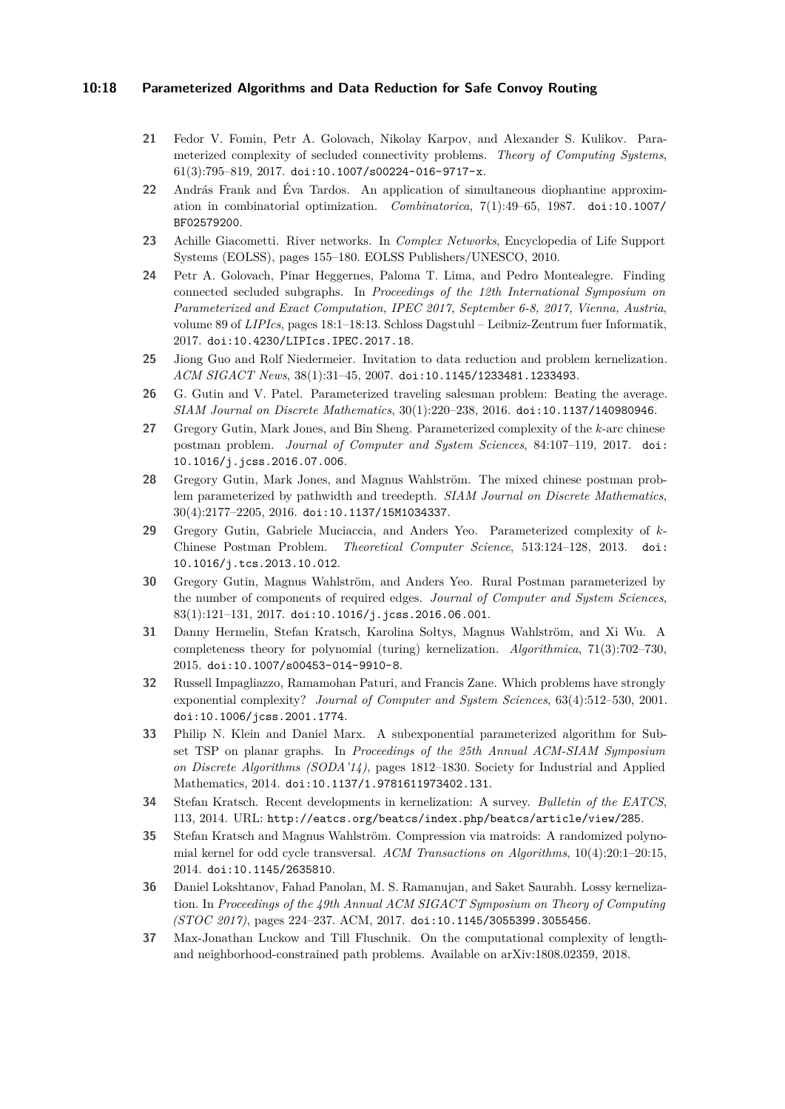## **10:18 Parameterized Algorithms and Data Reduction for Safe Convoy Routing**

- <span id="page-17-10"></span>**21** Fedor V. Fomin, Petr A. Golovach, Nikolay Karpov, and Alexander S. Kulikov. Parameterized complexity of secluded connectivity problems. *Theory of Computing Systems*,  $61(3):795-819, 2017.$  [doi:10.1007/s00224-016-9717-x](http://dx.doi.org/10.1007/s00224-016-9717-x).
- <span id="page-17-13"></span>**22** András Frank and Éva Tardos. An application of simultaneous diophantine approximation in combinatorial optimization. *Combinatorica*, 7(1):49–65, 1987. [doi:10.1007/](http://dx.doi.org/10.1007/BF02579200) [BF02579200](http://dx.doi.org/10.1007/BF02579200).
- <span id="page-17-0"></span>**23** Achille Giacometti. River networks. In *Complex Networks*, Encyclopedia of Life Support Systems (EOLSS), pages 155–180. EOLSS Publishers/UNESCO, 2010.
- <span id="page-17-11"></span>**24** Petr A. Golovach, Pinar Heggernes, Paloma T. Lima, and Pedro Montealegre. Finding connected secluded subgraphs. In *Proceedings of the 12th International Symposium on Parameterized and Exact Computation, IPEC 2017, September 6-8, 2017, Vienna, Austria*, volume 89 of *LIPIcs*, pages 18:1–18:13. Schloss Dagstuhl – Leibniz-Zentrum fuer Informatik, 2017. [doi:10.4230/LIPIcs.IPEC.2017.18](http://dx.doi.org/10.4230/LIPIcs.IPEC.2017.18).
- <span id="page-17-7"></span>**25** Jiong Guo and Rolf Niedermeier. Invitation to data reduction and problem kernelization. *ACM SIGACT News*, 38(1):31–45, 2007. [doi:10.1145/1233481.1233493](http://dx.doi.org/10.1145/1233481.1233493).
- <span id="page-17-5"></span>**26** G. Gutin and V. Patel. Parameterized traveling salesman problem: Beating the average. *SIAM Journal on Discrete Mathematics*, 30(1):220–238, 2016. [doi:10.1137/140980946](http://dx.doi.org/10.1137/140980946).
- <span id="page-17-4"></span>**27** Gregory Gutin, Mark Jones, and Bin Sheng. Parameterized complexity of the *k*-arc chinese postman problem. *Journal of Computer and System Sciences*, 84:107–119, 2017. [doi:](http://dx.doi.org/10.1016/j.jcss.2016.07.006) [10.1016/j.jcss.2016.07.006](http://dx.doi.org/10.1016/j.jcss.2016.07.006).
- <span id="page-17-2"></span>**28** Gregory Gutin, Mark Jones, and Magnus Wahlström. The mixed chinese postman problem parameterized by pathwidth and treedepth. *SIAM Journal on Discrete Mathematics*, 30(4):2177–2205, 2016. [doi:10.1137/15M1034337](http://dx.doi.org/10.1137/15M1034337).
- <span id="page-17-3"></span>**29** Gregory Gutin, Gabriele Muciaccia, and Anders Yeo. Parameterized complexity of *k*-Chinese Postman Problem. *Theoretical Computer Science*, 513:124–128, 2013. [doi:](http://dx.doi.org/10.1016/j.tcs.2013.10.012) [10.1016/j.tcs.2013.10.012](http://dx.doi.org/10.1016/j.tcs.2013.10.012).
- <span id="page-17-1"></span>**30** Gregory Gutin, Magnus Wahlström, and Anders Yeo. Rural Postman parameterized by the number of components of required edges. *Journal of Computer and System Sciences*, 83(1):121–131, 2017. [doi:10.1016/j.jcss.2016.06.001](http://dx.doi.org/10.1016/j.jcss.2016.06.001).
- <span id="page-17-14"></span>**31** Danny Hermelin, Stefan Kratsch, Karolina Sołtys, Magnus Wahlström, and Xi Wu. A completeness theory for polynomial (turing) kernelization. *Algorithmica*, 71(3):702–730, 2015. [doi:10.1007/s00453-014-9910-8](http://dx.doi.org/10.1007/s00453-014-9910-8).
- <span id="page-17-12"></span>**32** Russell Impagliazzo, Ramamohan Paturi, and Francis Zane. Which problems have strongly exponential complexity? *Journal of Computer and System Sciences*, 63(4):512–530, 2001. [doi:10.1006/jcss.2001.1774](http://dx.doi.org/10.1006/jcss.2001.1774).
- <span id="page-17-6"></span>**33** Philip N. Klein and Daniel Marx. A subexponential parameterized algorithm for Subset TSP on planar graphs. In *Proceedings of the 25th Annual ACM-SIAM Symposium on Discrete Algorithms (SODA'14)*, pages 1812–1830. Society for Industrial and Applied Mathematics, 2014. [doi:10.1137/1.9781611973402.131](http://dx.doi.org/10.1137/1.9781611973402.131).
- <span id="page-17-8"></span>**34** Stefan Kratsch. Recent developments in kernelization: A survey. *Bulletin of the EATCS*, 113, 2014. URL: <http://eatcs.org/beatcs/index.php/beatcs/article/view/285>.
- <span id="page-17-16"></span>**35** Stefan Kratsch and Magnus Wahlström. Compression via matroids: A randomized polynomial kernel for odd cycle transversal. *ACM Transactions on Algorithms*, 10(4):20:1–20:15, 2014. [doi:10.1145/2635810](http://dx.doi.org/10.1145/2635810).
- <span id="page-17-15"></span>**36** Daniel Lokshtanov, Fahad Panolan, M. S. Ramanujan, and Saket Saurabh. Lossy kernelization. In *Proceedings of the 49th Annual ACM SIGACT Symposium on Theory of Computing (STOC 2017)*, pages 224–237. ACM, 2017. [doi:10.1145/3055399.3055456](http://dx.doi.org/10.1145/3055399.3055456).
- <span id="page-17-9"></span>**37** Max-Jonathan Luckow and Till Fluschnik. On the computational complexity of lengthand neighborhood-constrained path problems. Available on arXiv:1808.02359, 2018.